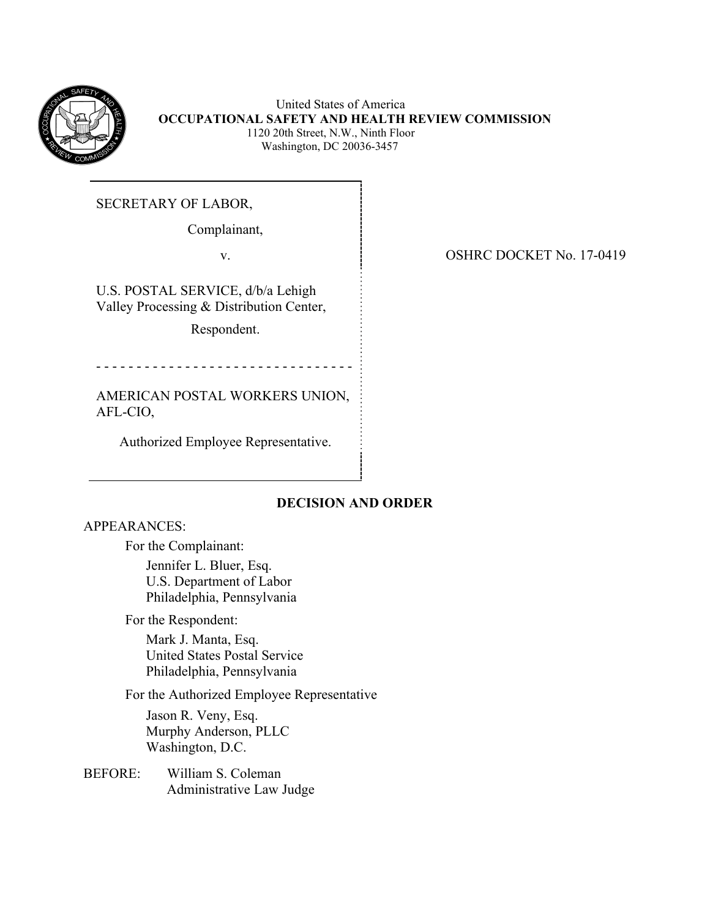

 United States of America  **OCCUPATIONAL SAFETY AND HEALTH REVIEW COMMISSION** 1120 20th Street, N.W., Ninth Floor Washington, DC 20036-3457

SECRETARY OF LABOR,

Complainant,

U.S. POSTAL SERVICE, d/b/a Lehigh Valley Processing & Distribution Center,

Respondent.

- - - - - - - - - - - - - - - - - - - - - - - - - - - - - - - -

AMERICAN POSTAL WORKERS UNION, AFL-CIO,

Authorized Employee Representative.

# **DECISION AND ORDER**

APPEARANCES:

For the Complainant:

Jennifer L. Bluer, Esq. U.S. Department of Labor Philadelphia, Pennsylvania

For the Respondent:

Mark J. Manta, Esq. United States Postal Service Philadelphia, Pennsylvania

For the Authorized Employee Representative

Jason R. Veny, Esq. Murphy Anderson, PLLC Washington, D.C.

BEFORE: William S. Coleman Administrative Law Judge

v. SHRC DOCKET No. 17-0419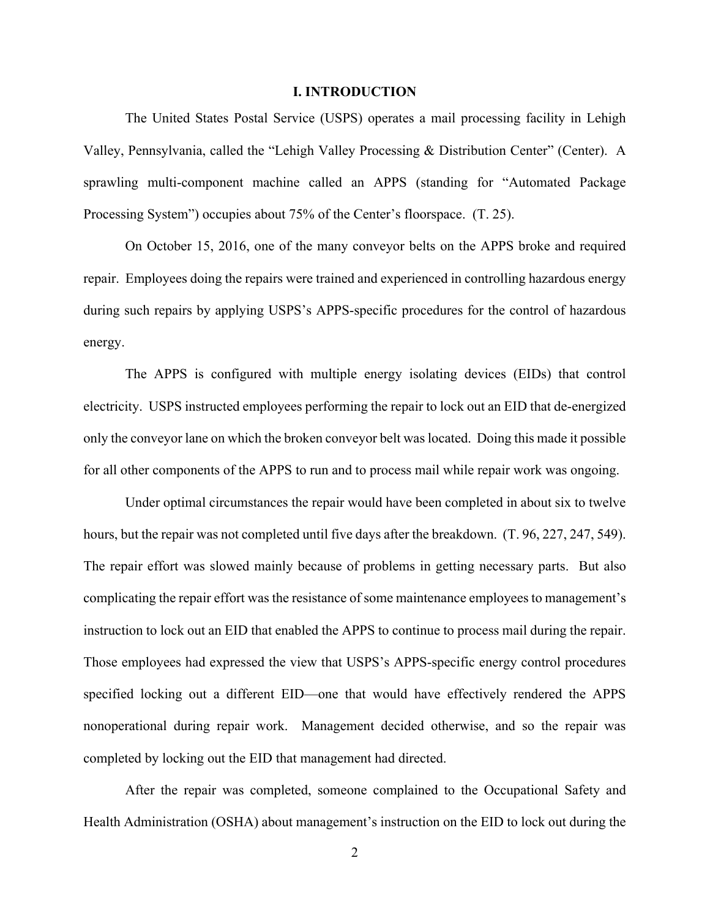#### **I. INTRODUCTION**

The United States Postal Service (USPS) operates a mail processing facility in Lehigh Valley, Pennsylvania, called the "Lehigh Valley Processing & Distribution Center" (Center). A sprawling multi-component machine called an APPS (standing for "Automated Package Processing System") occupies about 75% of the Center's floorspace. (T. 25).

On October 15, 2016, one of the many conveyor belts on the APPS broke and required repair. Employees doing the repairs were trained and experienced in controlling hazardous energy during such repairs by applying USPS's APPS-specific procedures for the control of hazardous energy.

The APPS is configured with multiple energy isolating devices (EIDs) that control electricity. USPS instructed employees performing the repair to lock out an EID that de-energized only the conveyor lane on which the broken conveyor belt was located. Doing this made it possible for all other components of the APPS to run and to process mail while repair work was ongoing.

Under optimal circumstances the repair would have been completed in about six to twelve hours, but the repair was not completed until five days after the breakdown. (T. 96, 227, 247, 549). The repair effort was slowed mainly because of problems in getting necessary parts. But also complicating the repair effort was the resistance of some maintenance employees to management's instruction to lock out an EID that enabled the APPS to continue to process mail during the repair. Those employees had expressed the view that USPS's APPS-specific energy control procedures specified locking out a different EID—one that would have effectively rendered the APPS nonoperational during repair work. Management decided otherwise, and so the repair was completed by locking out the EID that management had directed.

After the repair was completed, someone complained to the Occupational Safety and Health Administration (OSHA) about management's instruction on the EID to lock out during the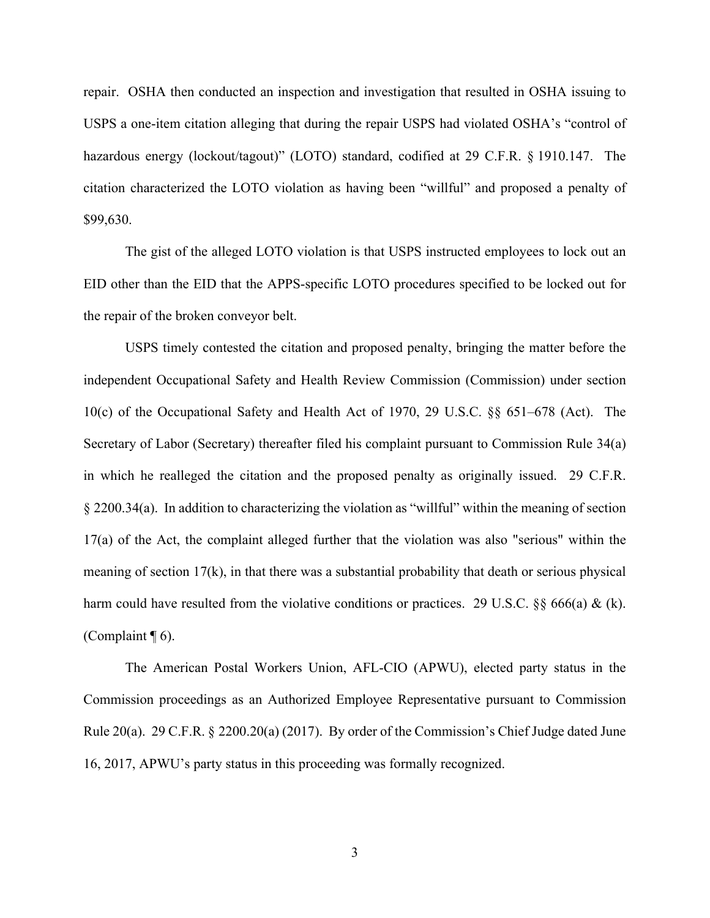repair. OSHA then conducted an inspection and investigation that resulted in OSHA issuing to USPS a one-item citation alleging that during the repair USPS had violated OSHA's "control of hazardous energy (lockout/tagout)" (LOTO) standard, codified at 29 C.F.R. § 1910.147. The citation characterized the LOTO violation as having been "willful" and proposed a penalty of \$99,630.

The gist of the alleged LOTO violation is that USPS instructed employees to lock out an EID other than the EID that the APPS-specific LOTO procedures specified to be locked out for the repair of the broken conveyor belt.

USPS timely contested the citation and proposed penalty, bringing the matter before the independent Occupational Safety and Health Review Commission (Commission) under section 10(c) of the Occupational Safety and Health Act of 1970, 29 U.S.C. §§ 651–678 (Act). The Secretary of Labor (Secretary) thereafter filed his complaint pursuant to Commission Rule 34(a) in which he realleged the citation and the proposed penalty as originally issued. 29 C.F.R. § 2200.34(a). In addition to characterizing the violation as "willful" within the meaning of section 17(a) of the Act, the complaint alleged further that the violation was also "serious" within the meaning of section 17(k), in that there was a substantial probability that death or serious physical harm could have resulted from the violative conditions or practices. 29 U.S.C. §§ 666(a) & (k). (Complaint  $\P$  6).

The American Postal Workers Union, AFL-CIO (APWU), elected party status in the Commission proceedings as an Authorized Employee Representative pursuant to Commission Rule 20(a). 29 C.F.R. § 2200.20(a) (2017). By order of the Commission's Chief Judge dated June 16, 2017, APWU's party status in this proceeding was formally recognized.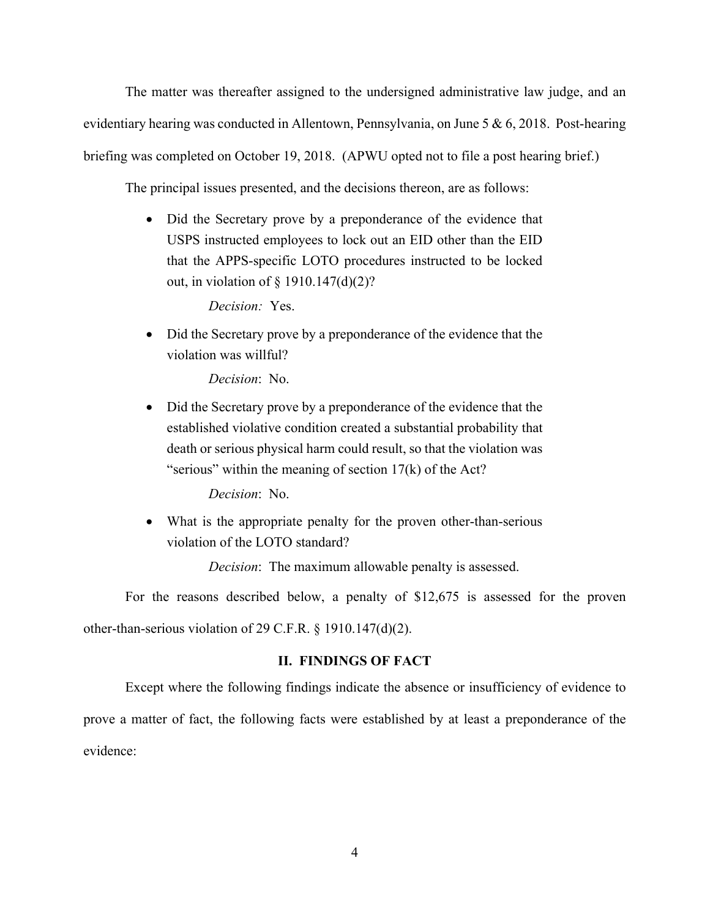The matter was thereafter assigned to the undersigned administrative law judge, and an evidentiary hearing was conducted in Allentown, Pennsylvania, on June 5 & 6, 2018. Post-hearing briefing was completed on October 19, 2018. (APWU opted not to file a post hearing brief.)

The principal issues presented, and the decisions thereon, are as follows:

• Did the Secretary prove by a preponderance of the evidence that USPS instructed employees to lock out an EID other than the EID that the APPS-specific LOTO procedures instructed to be locked out, in violation of § 1910.147(d)(2)?

*Decision:* Yes.

• Did the Secretary prove by a preponderance of the evidence that the violation was willful?

*Decision*: No.

• Did the Secretary prove by a preponderance of the evidence that the established violative condition created a substantial probability that death or serious physical harm could result, so that the violation was "serious" within the meaning of section  $17(k)$  of the Act?

*Decision*: No.

 What is the appropriate penalty for the proven other-than-serious violation of the LOTO standard?

*Decision*: The maximum allowable penalty is assessed.

For the reasons described below, a penalty of \$12,675 is assessed for the proven other-than-serious violation of 29 C.F.R. § 1910.147(d)(2).

# **II. FINDINGS OF FACT**

Except where the following findings indicate the absence or insufficiency of evidence to prove a matter of fact, the following facts were established by at least a preponderance of the evidence: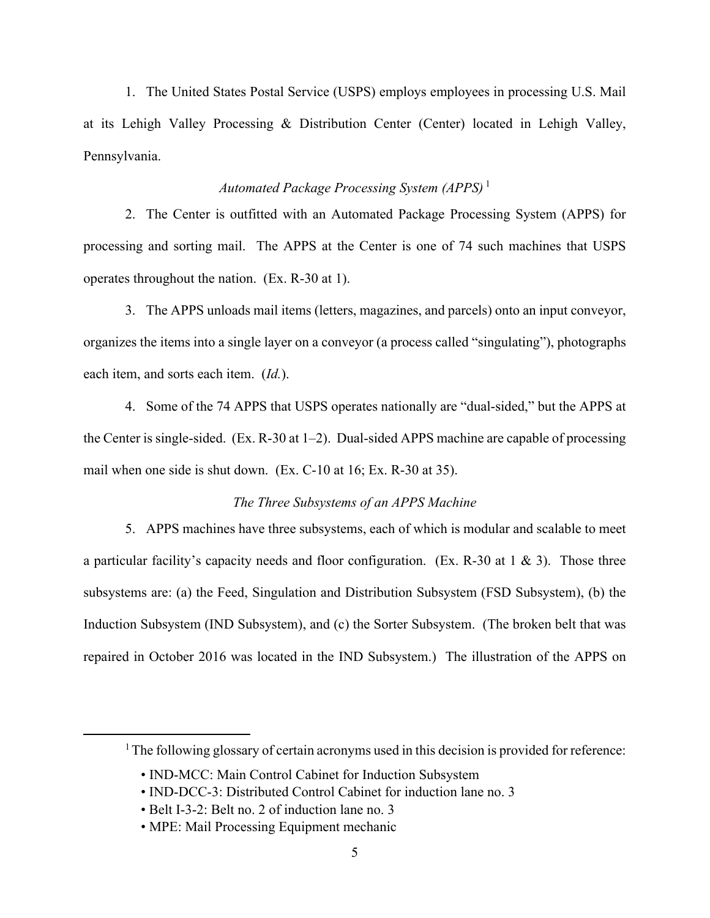1. The United States Postal Service (USPS) employs employees in processing U.S. Mail at its Lehigh Valley Processing & Distribution Center (Center) located in Lehigh Valley, Pennsylvania.

# *Automated Package Processing System (APPS)*<sup>1</sup>

2. The Center is outfitted with an Automated Package Processing System (APPS) for processing and sorting mail. The APPS at the Center is one of 74 such machines that USPS operates throughout the nation. (Ex. R-30 at 1).

3. The APPS unloads mail items (letters, magazines, and parcels) onto an input conveyor, organizes the items into a single layer on a conveyor (a process called "singulating"), photographs each item, and sorts each item. (*Id.*).

4. Some of the 74 APPS that USPS operates nationally are "dual-sided," but the APPS at the Center is single-sided. (Ex. R-30 at 1–2). Dual-sided APPS machine are capable of processing mail when one side is shut down. (Ex. C-10 at 16; Ex. R-30 at 35).

# *The Three Subsystems of an APPS Machine*

5. APPS machines have three subsystems, each of which is modular and scalable to meet a particular facility's capacity needs and floor configuration. (Ex. R-30 at 1 & 3). Those three subsystems are: (a) the Feed, Singulation and Distribution Subsystem (FSD Subsystem), (b) the Induction Subsystem (IND Subsystem), and (c) the Sorter Subsystem. (The broken belt that was repaired in October 2016 was located in the IND Subsystem.) The illustration of the APPS on

<sup>&</sup>lt;sup>1</sup> The following glossary of certain acronyms used in this decision is provided for reference:

<sup>•</sup> IND-MCC: Main Control Cabinet for Induction Subsystem

<sup>•</sup> IND-DCC-3: Distributed Control Cabinet for induction lane no. 3

<sup>•</sup> Belt I-3-2: Belt no. 2 of induction lane no. 3

<sup>•</sup> MPE: Mail Processing Equipment mechanic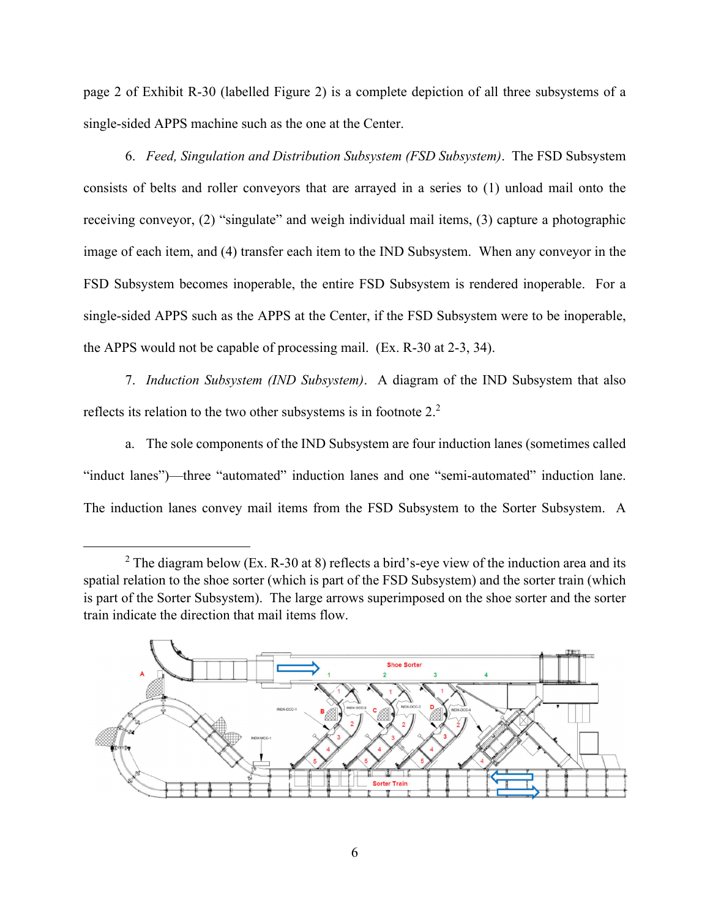page 2 of Exhibit R-30 (labelled Figure 2) is a complete depiction of all three subsystems of a single-sided APPS machine such as the one at the Center.

6. *Feed, Singulation and Distribution Subsystem (FSD Subsystem)*. The FSD Subsystem consists of belts and roller conveyors that are arrayed in a series to (1) unload mail onto the receiving conveyor, (2) "singulate" and weigh individual mail items, (3) capture a photographic image of each item, and (4) transfer each item to the IND Subsystem. When any conveyor in the FSD Subsystem becomes inoperable, the entire FSD Subsystem is rendered inoperable. For a single-sided APPS such as the APPS at the Center, if the FSD Subsystem were to be inoperable, the APPS would not be capable of processing mail. (Ex. R-30 at 2-3, 34).

7. *Induction Subsystem (IND Subsystem)*. A diagram of the IND Subsystem that also reflects its relation to the two other subsystems is in footnote  $2<sup>2</sup>$ 

a. The sole components of the IND Subsystem are four induction lanes (sometimes called "induct lanes")—three "automated" induction lanes and one "semi-automated" induction lane. The induction lanes convey mail items from the FSD Subsystem to the Sorter Subsystem. A

<sup>&</sup>lt;sup>2</sup> The diagram below (Ex. R-30 at 8) reflects a bird's-eye view of the induction area and its spatial relation to the shoe sorter (which is part of the FSD Subsystem) and the sorter train (which is part of the Sorter Subsystem). The large arrows superimposed on the shoe sorter and the sorter train indicate the direction that mail items flow.

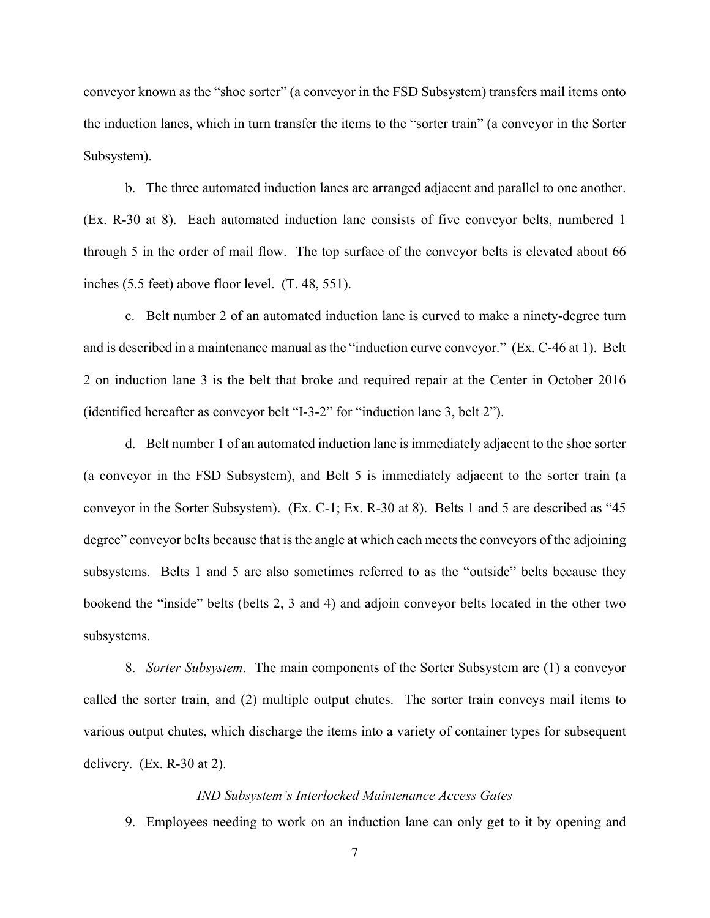conveyor known as the "shoe sorter" (a conveyor in the FSD Subsystem) transfers mail items onto the induction lanes, which in turn transfer the items to the "sorter train" (a conveyor in the Sorter Subsystem).

b. The three automated induction lanes are arranged adjacent and parallel to one another. (Ex. R-30 at 8). Each automated induction lane consists of five conveyor belts, numbered 1 through 5 in the order of mail flow. The top surface of the conveyor belts is elevated about 66 inches (5.5 feet) above floor level. (T. 48, 551).

c. Belt number 2 of an automated induction lane is curved to make a ninety-degree turn and is described in a maintenance manual as the "induction curve conveyor." (Ex. C-46 at 1). Belt 2 on induction lane 3 is the belt that broke and required repair at the Center in October 2016 (identified hereafter as conveyor belt "I-3-2" for "induction lane 3, belt 2").

d. Belt number 1 of an automated induction lane is immediately adjacent to the shoe sorter (a conveyor in the FSD Subsystem), and Belt 5 is immediately adjacent to the sorter train (a conveyor in the Sorter Subsystem). (Ex. C-1; Ex. R-30 at 8). Belts 1 and 5 are described as "45 degree" conveyor belts because that is the angle at which each meets the conveyors of the adjoining subsystems. Belts 1 and 5 are also sometimes referred to as the "outside" belts because they bookend the "inside" belts (belts 2, 3 and 4) and adjoin conveyor belts located in the other two subsystems.

8. *Sorter Subsystem*. The main components of the Sorter Subsystem are (1) a conveyor called the sorter train, and (2) multiple output chutes. The sorter train conveys mail items to various output chutes, which discharge the items into a variety of container types for subsequent delivery. (Ex. R-30 at 2).

#### *IND Subsystem's Interlocked Maintenance Access Gates*

9. Employees needing to work on an induction lane can only get to it by opening and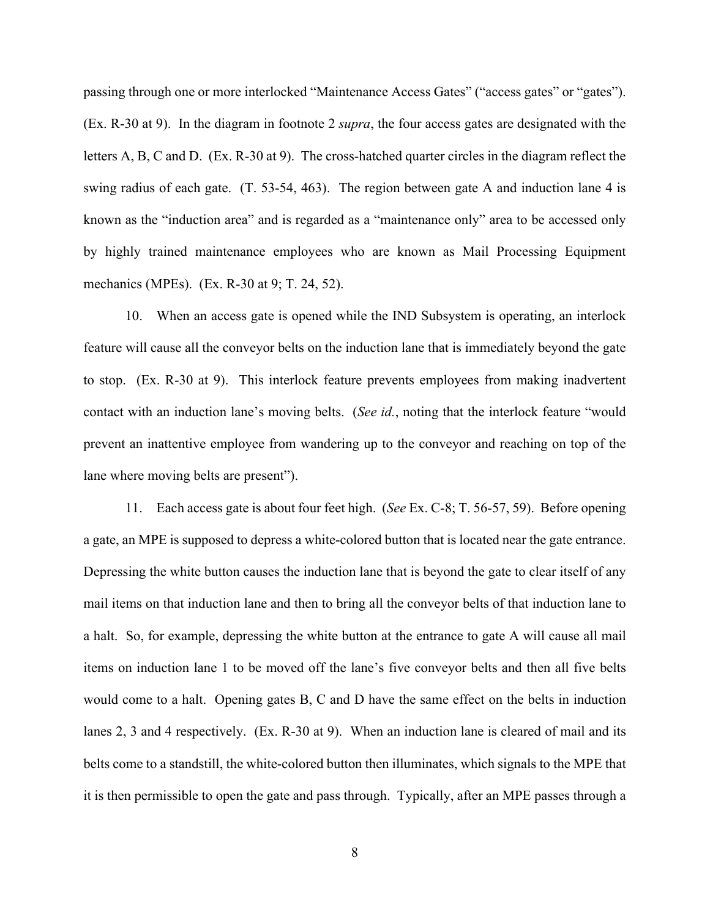passing through one or more interlocked "Maintenance Access Gates" ("access gates" or "gates"). (Ex. R-30 at 9). In the diagram in footnote 2 *supra*, the four access gates are designated with the letters A, B, C and D. (Ex. R-30 at 9). The cross-hatched quarter circles in the diagram reflect the swing radius of each gate. (T. 53-54, 463). The region between gate A and induction lane 4 is known as the "induction area" and is regarded as a "maintenance only" area to be accessed only by highly trained maintenance employees who are known as Mail Processing Equipment mechanics (MPEs). (Ex. R-30 at 9; T. 24, 52).

10. When an access gate is opened while the IND Subsystem is operating, an interlock feature will cause all the conveyor belts on the induction lane that is immediately beyond the gate to stop. (Ex. R-30 at 9). This interlock feature prevents employees from making inadvertent contact with an induction lane's moving belts. (*See id.*, noting that the interlock feature "would prevent an inattentive employee from wandering up to the conveyor and reaching on top of the lane where moving belts are present").

11. Each access gate is about four feet high. (*See* Ex. C-8; T. 56-57, 59). Before opening a gate, an MPE is supposed to depress a white-colored button that is located near the gate entrance. Depressing the white button causes the induction lane that is beyond the gate to clear itself of any mail items on that induction lane and then to bring all the conveyor belts of that induction lane to a halt. So, for example, depressing the white button at the entrance to gate A will cause all mail items on induction lane 1 to be moved off the lane's five conveyor belts and then all five belts would come to a halt. Opening gates B, C and D have the same effect on the belts in induction lanes 2, 3 and 4 respectively. (Ex. R-30 at 9). When an induction lane is cleared of mail and its belts come to a standstill, the white-colored button then illuminates, which signals to the MPE that it is then permissible to open the gate and pass through. Typically, after an MPE passes through a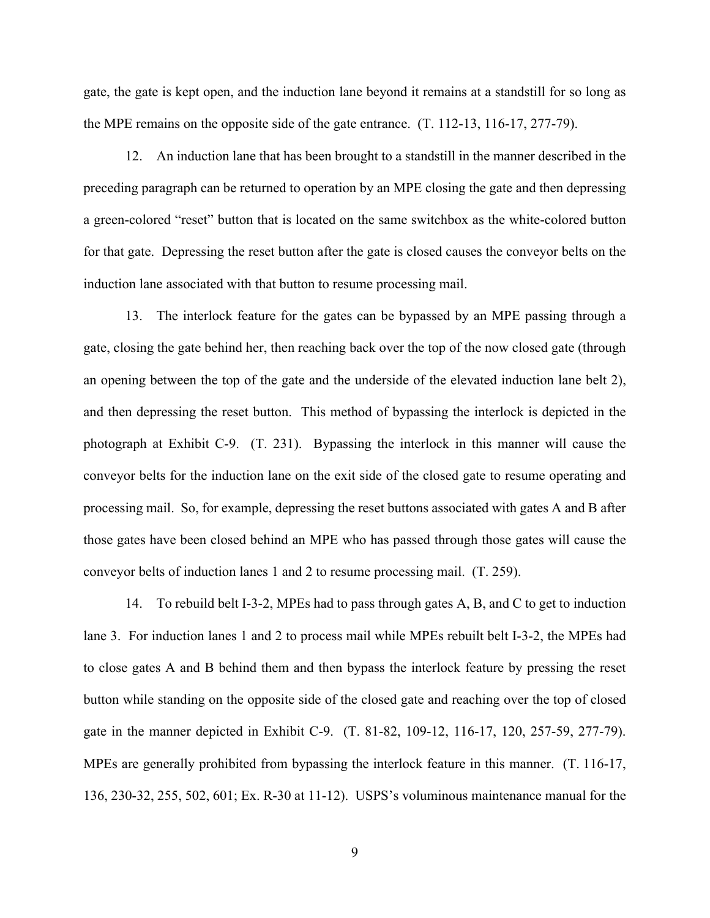gate, the gate is kept open, and the induction lane beyond it remains at a standstill for so long as the MPE remains on the opposite side of the gate entrance. (T. 112-13, 116-17, 277-79).

12. An induction lane that has been brought to a standstill in the manner described in the preceding paragraph can be returned to operation by an MPE closing the gate and then depressing a green-colored "reset" button that is located on the same switchbox as the white-colored button for that gate. Depressing the reset button after the gate is closed causes the conveyor belts on the induction lane associated with that button to resume processing mail.

13. The interlock feature for the gates can be bypassed by an MPE passing through a gate, closing the gate behind her, then reaching back over the top of the now closed gate (through an opening between the top of the gate and the underside of the elevated induction lane belt 2), and then depressing the reset button. This method of bypassing the interlock is depicted in the photograph at Exhibit C-9. (T. 231). Bypassing the interlock in this manner will cause the conveyor belts for the induction lane on the exit side of the closed gate to resume operating and processing mail. So, for example, depressing the reset buttons associated with gates A and B after those gates have been closed behind an MPE who has passed through those gates will cause the conveyor belts of induction lanes 1 and 2 to resume processing mail. (T. 259).

14. To rebuild belt I-3-2, MPEs had to pass through gates A, B, and C to get to induction lane 3. For induction lanes 1 and 2 to process mail while MPEs rebuilt belt I-3-2, the MPEs had to close gates A and B behind them and then bypass the interlock feature by pressing the reset button while standing on the opposite side of the closed gate and reaching over the top of closed gate in the manner depicted in Exhibit C-9. (T. 81-82, 109-12, 116-17, 120, 257-59, 277-79). MPEs are generally prohibited from bypassing the interlock feature in this manner. (T. 116-17, 136, 230-32, 255, 502, 601; Ex. R-30 at 11-12). USPS's voluminous maintenance manual for the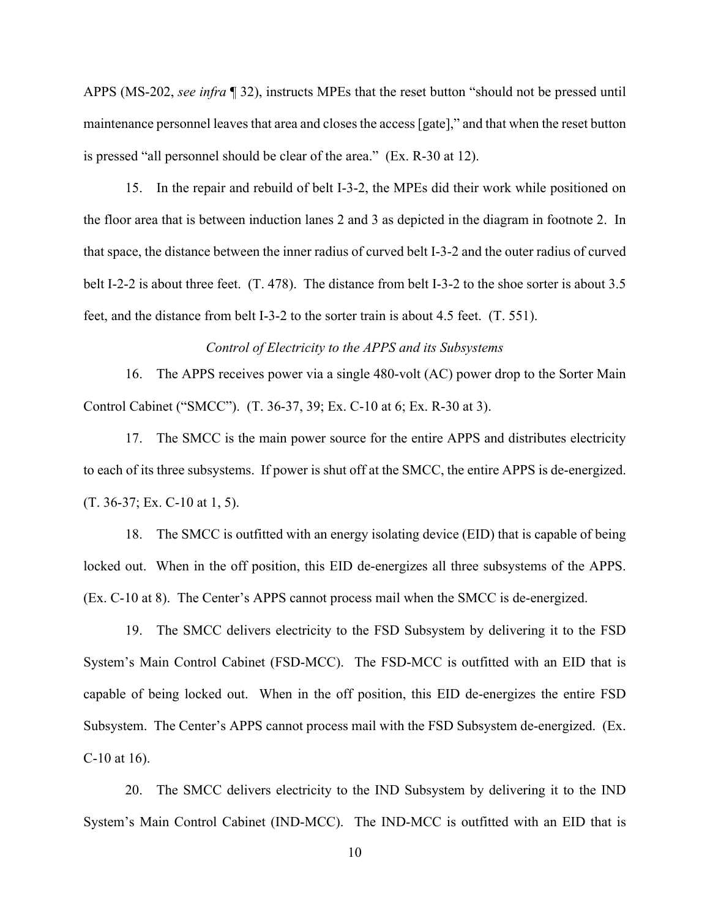APPS (MS-202, *see infra* ¶ 32), instructs MPEs that the reset button "should not be pressed until maintenance personnel leaves that area and closes the access [gate]," and that when the reset button is pressed "all personnel should be clear of the area." (Ex. R-30 at 12).

15. In the repair and rebuild of belt I-3-2, the MPEs did their work while positioned on the floor area that is between induction lanes 2 and 3 as depicted in the diagram in footnote 2. In that space, the distance between the inner radius of curved belt I-3-2 and the outer radius of curved belt I-2-2 is about three feet. (T. 478). The distance from belt I-3-2 to the shoe sorter is about 3.5 feet, and the distance from belt I-3-2 to the sorter train is about 4.5 feet. (T. 551).

*Control of Electricity to the APPS and its Subsystems* 

16. The APPS receives power via a single 480-volt (AC) power drop to the Sorter Main Control Cabinet ("SMCC"). (T. 36-37, 39; Ex. C-10 at 6; Ex. R-30 at 3).

17. The SMCC is the main power source for the entire APPS and distributes electricity to each of its three subsystems. If power is shut off at the SMCC, the entire APPS is de-energized. (T. 36-37; Ex. C-10 at 1, 5).

18. The SMCC is outfitted with an energy isolating device (EID) that is capable of being locked out. When in the off position, this EID de-energizes all three subsystems of the APPS. (Ex. C-10 at 8). The Center's APPS cannot process mail when the SMCC is de-energized.

19. The SMCC delivers electricity to the FSD Subsystem by delivering it to the FSD System's Main Control Cabinet (FSD-MCC). The FSD-MCC is outfitted with an EID that is capable of being locked out. When in the off position, this EID de-energizes the entire FSD Subsystem. The Center's APPS cannot process mail with the FSD Subsystem de-energized. (Ex. C-10 at 16).

20. The SMCC delivers electricity to the IND Subsystem by delivering it to the IND System's Main Control Cabinet (IND-MCC). The IND-MCC is outfitted with an EID that is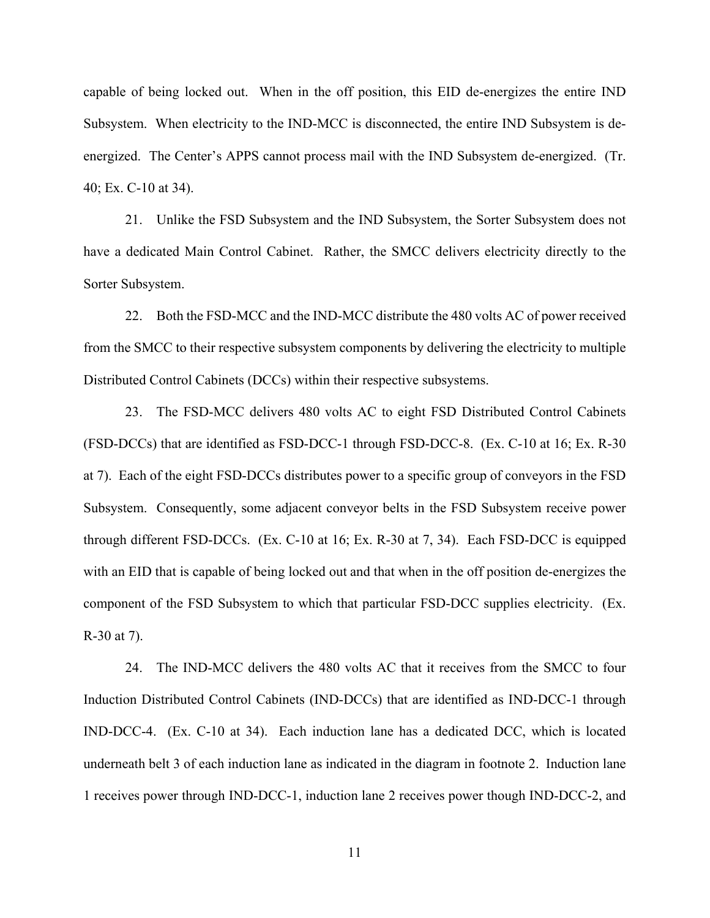capable of being locked out. When in the off position, this EID de-energizes the entire IND Subsystem. When electricity to the IND-MCC is disconnected, the entire IND Subsystem is deenergized. The Center's APPS cannot process mail with the IND Subsystem de-energized. (Tr. 40; Ex. C-10 at 34).

21. Unlike the FSD Subsystem and the IND Subsystem, the Sorter Subsystem does not have a dedicated Main Control Cabinet. Rather, the SMCC delivers electricity directly to the Sorter Subsystem.

22. Both the FSD-MCC and the IND-MCC distribute the 480 volts AC of power received from the SMCC to their respective subsystem components by delivering the electricity to multiple Distributed Control Cabinets (DCCs) within their respective subsystems.

23. The FSD-MCC delivers 480 volts AC to eight FSD Distributed Control Cabinets (FSD-DCCs) that are identified as FSD-DCC-1 through FSD-DCC-8. (Ex. C-10 at 16; Ex. R-30 at 7). Each of the eight FSD-DCCs distributes power to a specific group of conveyors in the FSD Subsystem. Consequently, some adjacent conveyor belts in the FSD Subsystem receive power through different FSD-DCCs. (Ex. C-10 at 16; Ex. R-30 at 7, 34). Each FSD-DCC is equipped with an EID that is capable of being locked out and that when in the off position de-energizes the component of the FSD Subsystem to which that particular FSD-DCC supplies electricity. (Ex. R-30 at 7).

24. The IND-MCC delivers the 480 volts AC that it receives from the SMCC to four Induction Distributed Control Cabinets (IND-DCCs) that are identified as IND-DCC-1 through IND-DCC-4. (Ex. C-10 at 34). Each induction lane has a dedicated DCC, which is located underneath belt 3 of each induction lane as indicated in the diagram in footnote 2. Induction lane 1 receives power through IND-DCC-1, induction lane 2 receives power though IND-DCC-2, and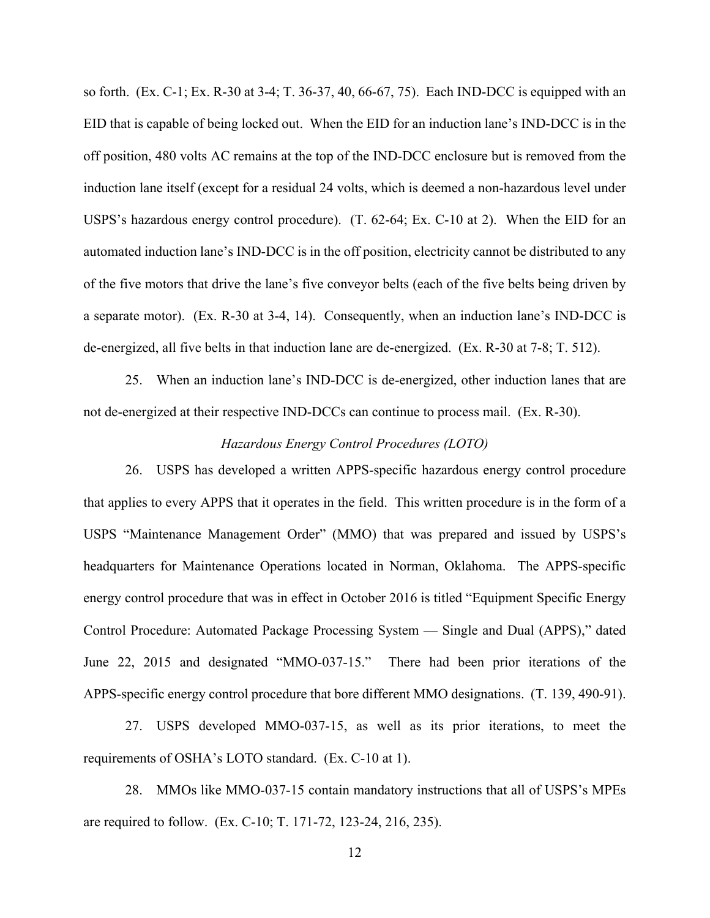so forth. (Ex. C-1; Ex. R-30 at 3-4; T. 36-37, 40, 66-67, 75). Each IND-DCC is equipped with an EID that is capable of being locked out. When the EID for an induction lane's IND-DCC is in the off position, 480 volts AC remains at the top of the IND-DCC enclosure but is removed from the induction lane itself (except for a residual 24 volts, which is deemed a non-hazardous level under USPS's hazardous energy control procedure). (T. 62-64; Ex. C-10 at 2). When the EID for an automated induction lane's IND-DCC is in the off position, electricity cannot be distributed to any of the five motors that drive the lane's five conveyor belts (each of the five belts being driven by a separate motor). (Ex. R-30 at 3-4, 14). Consequently, when an induction lane's IND-DCC is de-energized, all five belts in that induction lane are de-energized. (Ex. R-30 at 7-8; T. 512).

25. When an induction lane's IND-DCC is de-energized, other induction lanes that are not de-energized at their respective IND-DCCs can continue to process mail. (Ex. R-30).

## *Hazardous Energy Control Procedures (LOTO)*

26. USPS has developed a written APPS-specific hazardous energy control procedure that applies to every APPS that it operates in the field. This written procedure is in the form of a USPS "Maintenance Management Order" (MMO) that was prepared and issued by USPS's headquarters for Maintenance Operations located in Norman, Oklahoma. The APPS-specific energy control procedure that was in effect in October 2016 is titled "Equipment Specific Energy Control Procedure: Automated Package Processing System — Single and Dual (APPS)," dated June 22, 2015 and designated "MMO-037-15." There had been prior iterations of the APPS-specific energy control procedure that bore different MMO designations. (T. 139, 490-91).

27. USPS developed MMO-037-15, as well as its prior iterations, to meet the requirements of OSHA's LOTO standard. (Ex. C-10 at 1).

28. MMOs like MMO-037-15 contain mandatory instructions that all of USPS's MPEs are required to follow. (Ex. C-10; T. 171-72, 123-24, 216, 235).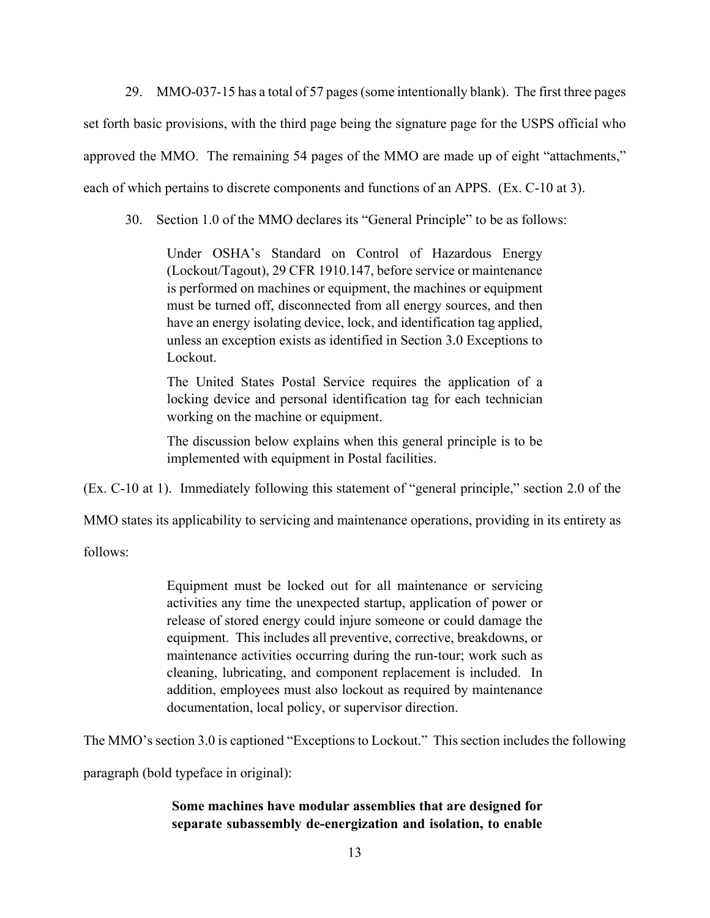29. MMO-037-15 has a total of 57 pages (some intentionally blank). The first three pages set forth basic provisions, with the third page being the signature page for the USPS official who approved the MMO. The remaining 54 pages of the MMO are made up of eight "attachments," each of which pertains to discrete components and functions of an APPS. (Ex. C-10 at 3).

30. Section 1.0 of the MMO declares its "General Principle" to be as follows:

Under OSHA's Standard on Control of Hazardous Energy (Lockout/Tagout), 29 CFR 1910.147, before service or maintenance is performed on machines or equipment, the machines or equipment must be turned off, disconnected from all energy sources, and then have an energy isolating device, lock, and identification tag applied, unless an exception exists as identified in Section 3.0 Exceptions to Lockout.

The United States Postal Service requires the application of a locking device and personal identification tag for each technician working on the machine or equipment.

The discussion below explains when this general principle is to be implemented with equipment in Postal facilities.

(Ex. C-10 at 1). Immediately following this statement of "general principle," section 2.0 of the

MMO states its applicability to servicing and maintenance operations, providing in its entirety as

follows:

Equipment must be locked out for all maintenance or servicing activities any time the unexpected startup, application of power or release of stored energy could injure someone or could damage the equipment. This includes all preventive, corrective, breakdowns, or maintenance activities occurring during the run-tour; work such as cleaning, lubricating, and component replacement is included. In addition, employees must also lockout as required by maintenance documentation, local policy, or supervisor direction.

The MMO's section 3.0 is captioned "Exceptions to Lockout." This section includes the following

paragraph (bold typeface in original):

# **Some machines have modular assemblies that are designed for separate subassembly de-energization and isolation, to enable**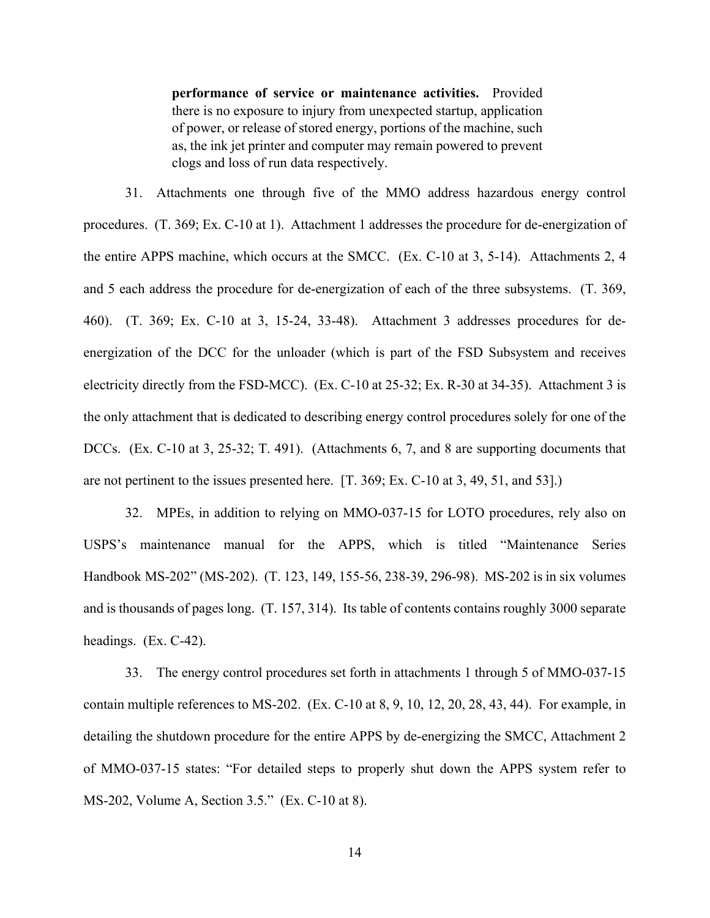**performance of service or maintenance activities.** Provided there is no exposure to injury from unexpected startup, application of power, or release of stored energy, portions of the machine, such as, the ink jet printer and computer may remain powered to prevent clogs and loss of run data respectively.

31. Attachments one through five of the MMO address hazardous energy control procedures. (T. 369; Ex. C-10 at 1). Attachment 1 addresses the procedure for de-energization of the entire APPS machine, which occurs at the SMCC. (Ex. C-10 at 3, 5-14). Attachments 2, 4 and 5 each address the procedure for de-energization of each of the three subsystems. (T. 369, 460). (T. 369; Ex. C-10 at 3, 15-24, 33-48). Attachment 3 addresses procedures for deenergization of the DCC for the unloader (which is part of the FSD Subsystem and receives electricity directly from the FSD-MCC). (Ex. C-10 at 25-32; Ex. R-30 at 34-35). Attachment 3 is the only attachment that is dedicated to describing energy control procedures solely for one of the DCCs. (Ex. C-10 at 3, 25-32; T. 491). (Attachments 6, 7, and 8 are supporting documents that are not pertinent to the issues presented here. [T. 369; Ex. C-10 at 3, 49, 51, and 53].)

32. MPEs, in addition to relying on MMO-037-15 for LOTO procedures, rely also on USPS's maintenance manual for the APPS, which is titled "Maintenance Series Handbook MS-202" (MS-202). (T. 123, 149, 155-56, 238-39, 296-98). MS-202 is in six volumes and is thousands of pages long. (T. 157, 314). Its table of contents contains roughly 3000 separate headings. (Ex. C-42).

33. The energy control procedures set forth in attachments 1 through 5 of MMO-037-15 contain multiple references to MS-202. (Ex. C-10 at 8, 9, 10, 12, 20, 28, 43, 44). For example, in detailing the shutdown procedure for the entire APPS by de-energizing the SMCC, Attachment 2 of MMO-037-15 states: "For detailed steps to properly shut down the APPS system refer to MS-202, Volume A, Section 3.5." (Ex. C-10 at 8).

14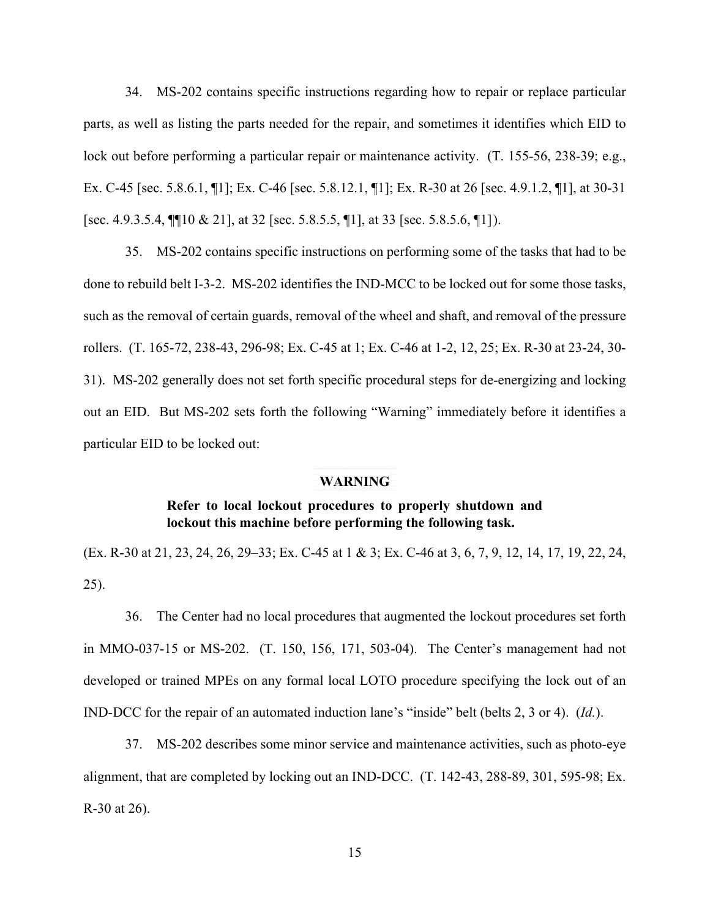34. MS-202 contains specific instructions regarding how to repair or replace particular parts, as well as listing the parts needed for the repair, and sometimes it identifies which EID to lock out before performing a particular repair or maintenance activity. (T. 155-56, 238-39; e.g., Ex. C-45 [sec. 5.8.6.1, ¶1]; Ex. C-46 [sec. 5.8.12.1, ¶1]; Ex. R-30 at 26 [sec. 4.9.1.2, ¶1], at 30-31 [sec. 4.9.3.5.4, ¶¶10 & 21], at 32 [sec. 5.8.5.5, ¶1], at 33 [sec. 5.8.5.6, ¶1]).

35. MS-202 contains specific instructions on performing some of the tasks that had to be done to rebuild belt I-3-2. MS-202 identifies the IND-MCC to be locked out for some those tasks, such as the removal of certain guards, removal of the wheel and shaft, and removal of the pressure rollers. (T. 165-72, 238-43, 296-98; Ex. C-45 at 1; Ex. C-46 at 1-2, 12, 25; Ex. R-30 at 23-24, 30- 31). MS-202 generally does not set forth specific procedural steps for de-energizing and locking out an EID. But MS-202 sets forth the following "Warning" immediately before it identifies a particular EID to be locked out:

### **WARNING**

# **Refer to local lockout procedures to properly shutdown and lockout this machine before performing the following task.**

(Ex. R-30 at 21, 23, 24, 26, 29–33; Ex. C-45 at 1 & 3; Ex. C-46 at 3, 6, 7, 9, 12, 14, 17, 19, 22, 24, 25).

36. The Center had no local procedures that augmented the lockout procedures set forth in MMO-037-15 or MS-202. (T. 150, 156, 171, 503-04). The Center's management had not developed or trained MPEs on any formal local LOTO procedure specifying the lock out of an IND-DCC for the repair of an automated induction lane's "inside" belt (belts 2, 3 or 4). (*Id.*).

37. MS-202 describes some minor service and maintenance activities, such as photo-eye alignment, that are completed by locking out an IND-DCC. (T. 142-43, 288-89, 301, 595-98; Ex. R-30 at 26).

15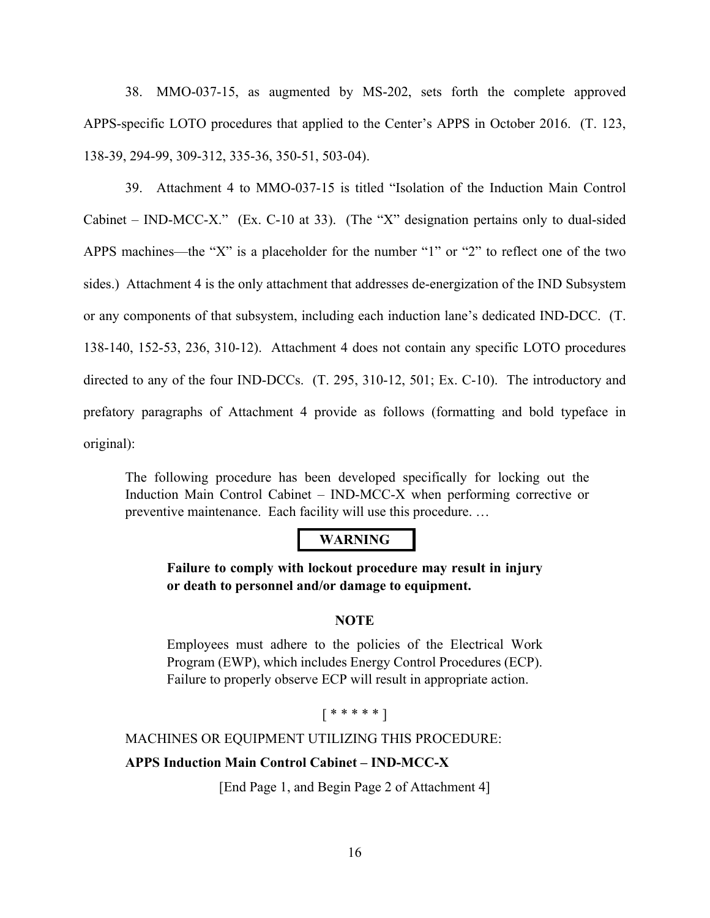38. MMO-037-15, as augmented by MS-202, sets forth the complete approved APPS-specific LOTO procedures that applied to the Center's APPS in October 2016. (T. 123, 138-39, 294-99, 309-312, 335-36, 350-51, 503-04).

39. Attachment 4 to MMO-037-15 is titled "Isolation of the Induction Main Control Cabinet – IND-MCC-X." (Ex. C-10 at 33). (The "X" designation pertains only to dual-sided APPS machines—the "X" is a placeholder for the number "1" or "2" to reflect one of the two sides.) Attachment 4 is the only attachment that addresses de-energization of the IND Subsystem or any components of that subsystem, including each induction lane's dedicated IND-DCC. (T. 138-140, 152-53, 236, 310-12). Attachment 4 does not contain any specific LOTO procedures directed to any of the four IND-DCCs. (T. 295, 310-12, 501; Ex. C-10). The introductory and prefatory paragraphs of Attachment 4 provide as follows (formatting and bold typeface in original):

The following procedure has been developed specifically for locking out the Induction Main Control Cabinet – IND-MCC-X when performing corrective or preventive maintenance. Each facility will use this procedure. …

# **WARNING**

**Failure to comply with lockout procedure may result in injury or death to personnel and/or damage to equipment.** 

# **NOTE**

Employees must adhere to the policies of the Electrical Work Program (EWP), which includes Energy Control Procedures (ECP). Failure to properly observe ECP will result in appropriate action.

# [ \* \* \* \* \* ]

MACHINES OR EQUIPMENT UTILIZING THIS PROCEDURE:

# **APPS Induction Main Control Cabinet – IND-MCC-X**

[End Page 1, and Begin Page 2 of Attachment 4]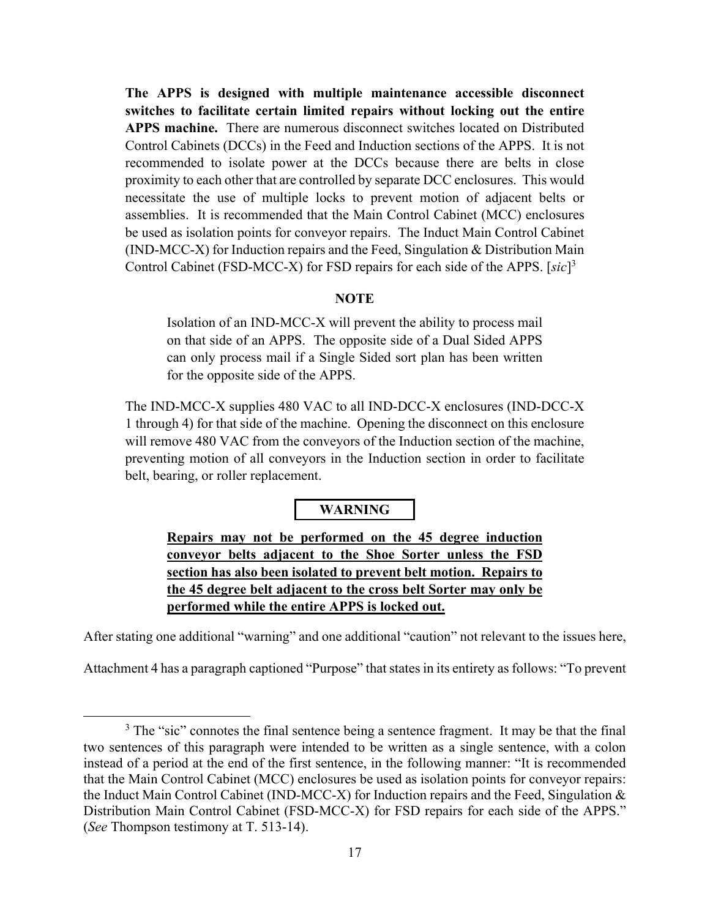**The APPS is designed with multiple maintenance accessible disconnect switches to facilitate certain limited repairs without locking out the entire APPS machine.** There are numerous disconnect switches located on Distributed Control Cabinets (DCCs) in the Feed and Induction sections of the APPS. It is not recommended to isolate power at the DCCs because there are belts in close proximity to each other that are controlled by separate DCC enclosures. This would necessitate the use of multiple locks to prevent motion of adjacent belts or assemblies. It is recommended that the Main Control Cabinet (MCC) enclosures be used as isolation points for conveyor repairs. The Induct Main Control Cabinet (IND-MCC-X) for Induction repairs and the Feed, Singulation & Distribution Main Control Cabinet (FSD-MCC-X) for FSD repairs for each side of the APPS. [*sic*] 3

# **NOTE**

Isolation of an IND-MCC-X will prevent the ability to process mail on that side of an APPS. The opposite side of a Dual Sided APPS can only process mail if a Single Sided sort plan has been written for the opposite side of the APPS.

The IND-MCC-X supplies 480 VAC to all IND-DCC-X enclosures (IND-DCC-X 1 through 4) for that side of the machine. Opening the disconnect on this enclosure will remove 480 VAC from the conveyors of the Induction section of the machine, preventing motion of all conveyors in the Induction section in order to facilitate belt, bearing, or roller replacement.

# **WARNING**

**Repairs may not be performed on the 45 degree induction conveyor belts adjacent to the Shoe Sorter unless the FSD section has also been isolated to prevent belt motion. Repairs to the 45 degree belt adjacent to the cross belt Sorter may only be performed while the entire APPS is locked out.**

After stating one additional "warning" and one additional "caution" not relevant to the issues here,

Attachment 4 has a paragraph captioned "Purpose" that states in its entirety as follows: "To prevent

 $3$  The "sic" connotes the final sentence being a sentence fragment. It may be that the final two sentences of this paragraph were intended to be written as a single sentence, with a colon instead of a period at the end of the first sentence, in the following manner: "It is recommended that the Main Control Cabinet (MCC) enclosures be used as isolation points for conveyor repairs: the Induct Main Control Cabinet (IND-MCC-X) for Induction repairs and the Feed, Singulation & Distribution Main Control Cabinet (FSD-MCC-X) for FSD repairs for each side of the APPS." (*See* Thompson testimony at T. 513-14).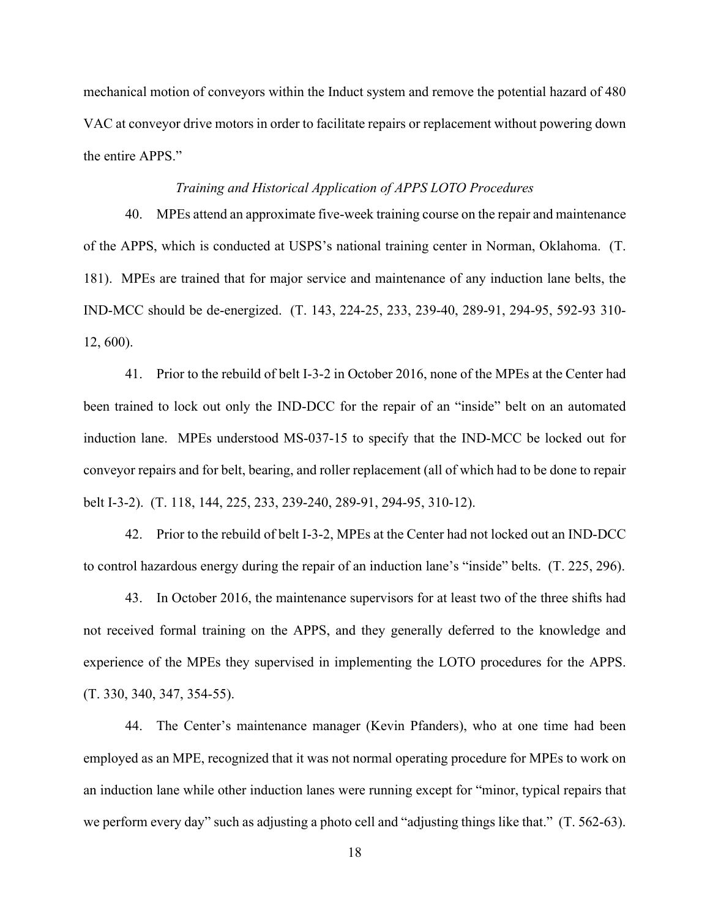mechanical motion of conveyors within the Induct system and remove the potential hazard of 480 VAC at conveyor drive motors in order to facilitate repairs or replacement without powering down the entire APPS."

## *Training and Historical Application of APPS LOTO Procedures*

40. MPEs attend an approximate five-week training course on the repair and maintenance of the APPS, which is conducted at USPS's national training center in Norman, Oklahoma. (T. 181). MPEs are trained that for major service and maintenance of any induction lane belts, the IND-MCC should be de-energized. (T. 143, 224-25, 233, 239-40, 289-91, 294-95, 592-93 310- 12, 600).

41. Prior to the rebuild of belt I-3-2 in October 2016, none of the MPEs at the Center had been trained to lock out only the IND-DCC for the repair of an "inside" belt on an automated induction lane. MPEs understood MS-037-15 to specify that the IND-MCC be locked out for conveyor repairs and for belt, bearing, and roller replacement (all of which had to be done to repair belt I-3-2). (T. 118, 144, 225, 233, 239-240, 289-91, 294-95, 310-12).

42. Prior to the rebuild of belt I-3-2, MPEs at the Center had not locked out an IND-DCC to control hazardous energy during the repair of an induction lane's "inside" belts. (T. 225, 296).

43. In October 2016, the maintenance supervisors for at least two of the three shifts had not received formal training on the APPS, and they generally deferred to the knowledge and experience of the MPEs they supervised in implementing the LOTO procedures for the APPS. (T. 330, 340, 347, 354-55).

44. The Center's maintenance manager (Kevin Pfanders), who at one time had been employed as an MPE, recognized that it was not normal operating procedure for MPEs to work on an induction lane while other induction lanes were running except for "minor, typical repairs that we perform every day" such as adjusting a photo cell and "adjusting things like that." (T. 562-63).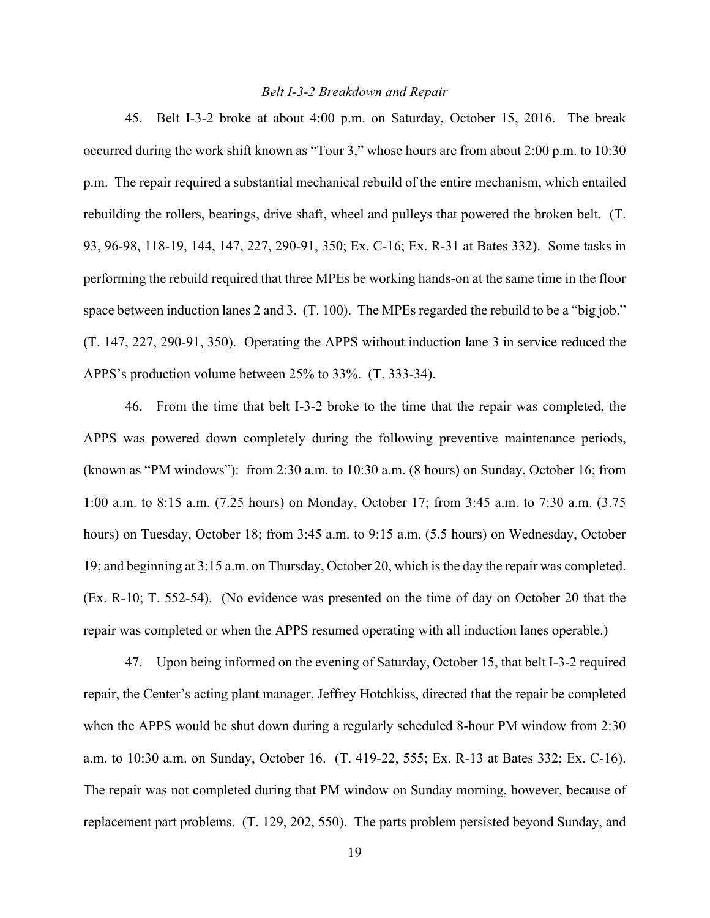## *Belt I-3-2 Breakdown and Repair*

45. Belt I-3-2 broke at about 4:00 p.m. on Saturday, October 15, 2016. The break occurred during the work shift known as "Tour 3," whose hours are from about 2:00 p.m. to 10:30 p.m. The repair required a substantial mechanical rebuild of the entire mechanism, which entailed rebuilding the rollers, bearings, drive shaft, wheel and pulleys that powered the broken belt. (T. 93, 96-98, 118-19, 144, 147, 227, 290-91, 350; Ex. C-16; Ex. R-31 at Bates 332). Some tasks in performing the rebuild required that three MPEs be working hands-on at the same time in the floor space between induction lanes 2 and 3. (T. 100). The MPEs regarded the rebuild to be a "big job." (T. 147, 227, 290-91, 350). Operating the APPS without induction lane 3 in service reduced the APPS's production volume between 25% to 33%. (T. 333-34).

46. From the time that belt I-3-2 broke to the time that the repair was completed, the APPS was powered down completely during the following preventive maintenance periods, (known as "PM windows"): from 2:30 a.m. to 10:30 a.m. (8 hours) on Sunday, October 16; from 1:00 a.m. to 8:15 a.m. (7.25 hours) on Monday, October 17; from 3:45 a.m. to 7:30 a.m. (3.75 hours) on Tuesday, October 18; from 3:45 a.m. to 9:15 a.m. (5.5 hours) on Wednesday, October 19; and beginning at 3:15 a.m. on Thursday, October 20, which is the day the repair was completed. (Ex. R-10; T. 552-54). (No evidence was presented on the time of day on October 20 that the repair was completed or when the APPS resumed operating with all induction lanes operable.)

47. Upon being informed on the evening of Saturday, October 15, that belt I-3-2 required repair, the Center's acting plant manager, Jeffrey Hotchkiss, directed that the repair be completed when the APPS would be shut down during a regularly scheduled 8-hour PM window from 2:30 a.m. to 10:30 a.m. on Sunday, October 16. (T. 419-22, 555; Ex. R-13 at Bates 332; Ex. C-16). The repair was not completed during that PM window on Sunday morning, however, because of replacement part problems. (T. 129, 202, 550). The parts problem persisted beyond Sunday, and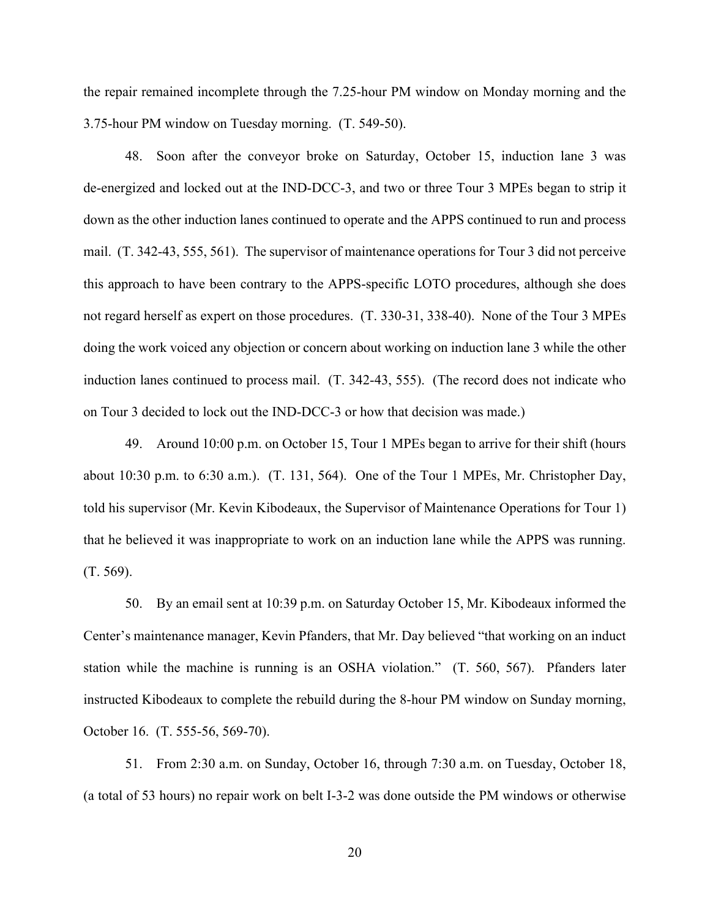the repair remained incomplete through the 7.25-hour PM window on Monday morning and the 3.75-hour PM window on Tuesday morning. (T. 549-50).

48. Soon after the conveyor broke on Saturday, October 15, induction lane 3 was de-energized and locked out at the IND-DCC-3, and two or three Tour 3 MPEs began to strip it down as the other induction lanes continued to operate and the APPS continued to run and process mail. (T. 342-43, 555, 561). The supervisor of maintenance operations for Tour 3 did not perceive this approach to have been contrary to the APPS-specific LOTO procedures, although she does not regard herself as expert on those procedures. (T. 330-31, 338-40). None of the Tour 3 MPEs doing the work voiced any objection or concern about working on induction lane 3 while the other induction lanes continued to process mail. (T. 342-43, 555). (The record does not indicate who on Tour 3 decided to lock out the IND-DCC-3 or how that decision was made.)

49. Around 10:00 p.m. on October 15, Tour 1 MPEs began to arrive for their shift (hours about 10:30 p.m. to 6:30 a.m.). (T. 131, 564). One of the Tour 1 MPEs, Mr. Christopher Day, told his supervisor (Mr. Kevin Kibodeaux, the Supervisor of Maintenance Operations for Tour 1) that he believed it was inappropriate to work on an induction lane while the APPS was running. (T. 569).

50. By an email sent at 10:39 p.m. on Saturday October 15, Mr. Kibodeaux informed the Center's maintenance manager, Kevin Pfanders, that Mr. Day believed "that working on an induct station while the machine is running is an OSHA violation." (T. 560, 567). Pfanders later instructed Kibodeaux to complete the rebuild during the 8-hour PM window on Sunday morning, October 16. (T. 555-56, 569-70).

51. From 2:30 a.m. on Sunday, October 16, through 7:30 a.m. on Tuesday, October 18, (a total of 53 hours) no repair work on belt I-3-2 was done outside the PM windows or otherwise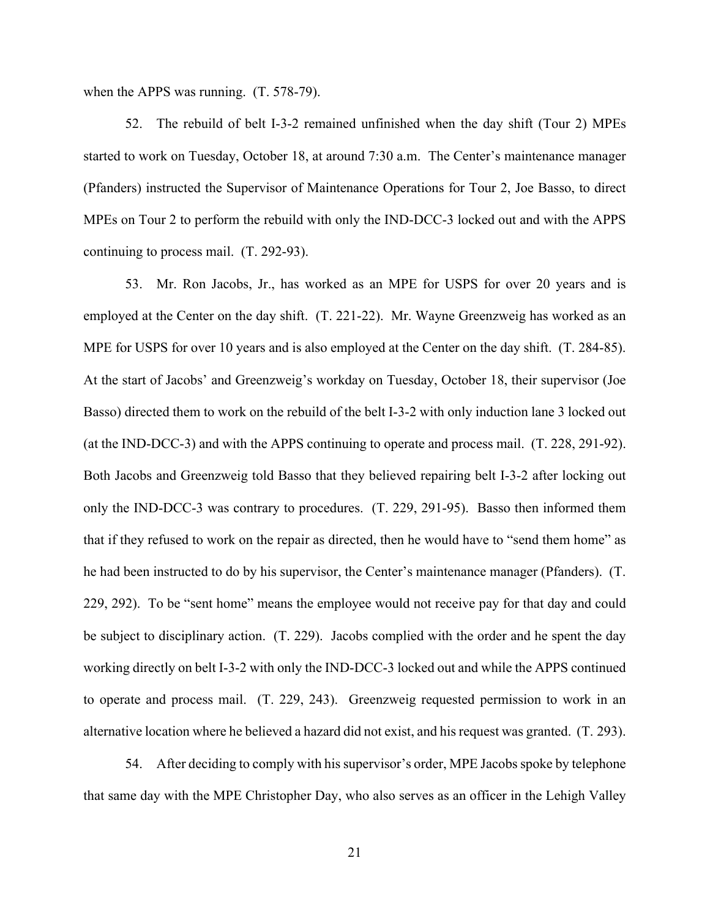when the APPS was running. (T. 578-79).

52. The rebuild of belt I-3-2 remained unfinished when the day shift (Tour 2) MPEs started to work on Tuesday, October 18, at around 7:30 a.m. The Center's maintenance manager (Pfanders) instructed the Supervisor of Maintenance Operations for Tour 2, Joe Basso, to direct MPEs on Tour 2 to perform the rebuild with only the IND-DCC-3 locked out and with the APPS continuing to process mail. (T. 292-93).

53. Mr. Ron Jacobs, Jr., has worked as an MPE for USPS for over 20 years and is employed at the Center on the day shift. (T. 221-22). Mr. Wayne Greenzweig has worked as an MPE for USPS for over 10 years and is also employed at the Center on the day shift. (T. 284-85). At the start of Jacobs' and Greenzweig's workday on Tuesday, October 18, their supervisor (Joe Basso) directed them to work on the rebuild of the belt I-3-2 with only induction lane 3 locked out (at the IND-DCC-3) and with the APPS continuing to operate and process mail. (T. 228, 291-92). Both Jacobs and Greenzweig told Basso that they believed repairing belt I-3-2 after locking out only the IND-DCC-3 was contrary to procedures. (T. 229, 291-95). Basso then informed them that if they refused to work on the repair as directed, then he would have to "send them home" as he had been instructed to do by his supervisor, the Center's maintenance manager (Pfanders). (T. 229, 292). To be "sent home" means the employee would not receive pay for that day and could be subject to disciplinary action. (T. 229). Jacobs complied with the order and he spent the day working directly on belt I-3-2 with only the IND-DCC-3 locked out and while the APPS continued to operate and process mail. (T. 229, 243). Greenzweig requested permission to work in an alternative location where he believed a hazard did not exist, and his request was granted. (T. 293).

54. After deciding to comply with his supervisor's order, MPE Jacobs spoke by telephone that same day with the MPE Christopher Day, who also serves as an officer in the Lehigh Valley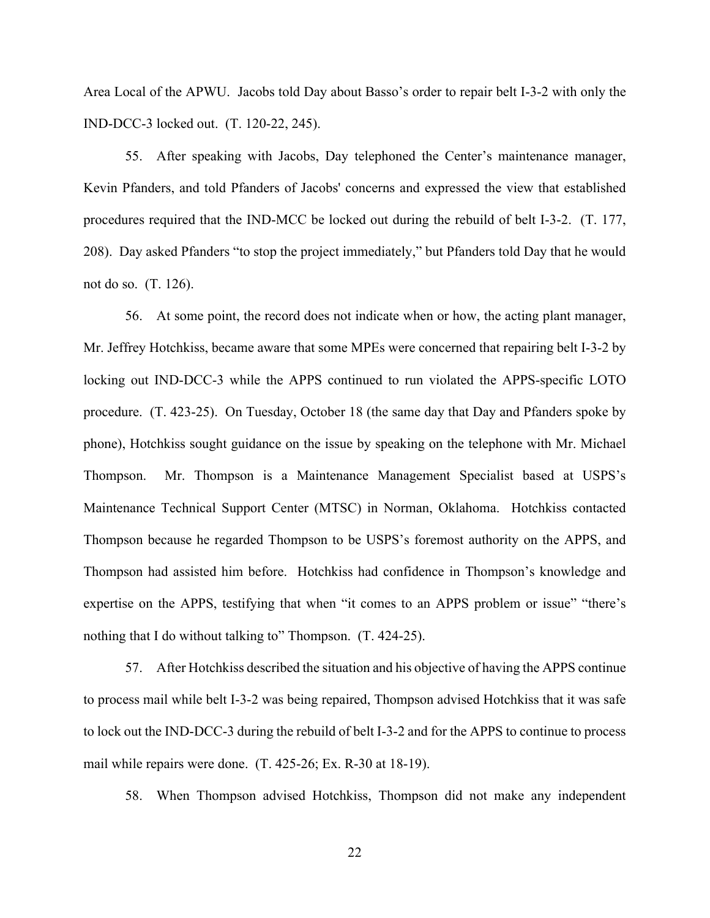Area Local of the APWU. Jacobs told Day about Basso's order to repair belt I-3-2 with only the IND-DCC-3 locked out. (T. 120-22, 245).

55. After speaking with Jacobs, Day telephoned the Center's maintenance manager, Kevin Pfanders, and told Pfanders of Jacobs' concerns and expressed the view that established procedures required that the IND-MCC be locked out during the rebuild of belt I-3-2. (T. 177, 208). Day asked Pfanders "to stop the project immediately," but Pfanders told Day that he would not do so. (T. 126).

56. At some point, the record does not indicate when or how, the acting plant manager, Mr. Jeffrey Hotchkiss, became aware that some MPEs were concerned that repairing belt I-3-2 by locking out IND-DCC-3 while the APPS continued to run violated the APPS-specific LOTO procedure. (T. 423-25). On Tuesday, October 18 (the same day that Day and Pfanders spoke by phone), Hotchkiss sought guidance on the issue by speaking on the telephone with Mr. Michael Thompson. Mr. Thompson is a Maintenance Management Specialist based at USPS's Maintenance Technical Support Center (MTSC) in Norman, Oklahoma. Hotchkiss contacted Thompson because he regarded Thompson to be USPS's foremost authority on the APPS, and Thompson had assisted him before. Hotchkiss had confidence in Thompson's knowledge and expertise on the APPS, testifying that when "it comes to an APPS problem or issue" "there's nothing that I do without talking to" Thompson. (T. 424-25).

57. After Hotchkiss described the situation and his objective of having the APPS continue to process mail while belt I-3-2 was being repaired, Thompson advised Hotchkiss that it was safe to lock out the IND-DCC-3 during the rebuild of belt I-3-2 and for the APPS to continue to process mail while repairs were done. (T. 425-26; Ex. R-30 at 18-19).

58. When Thompson advised Hotchkiss, Thompson did not make any independent

22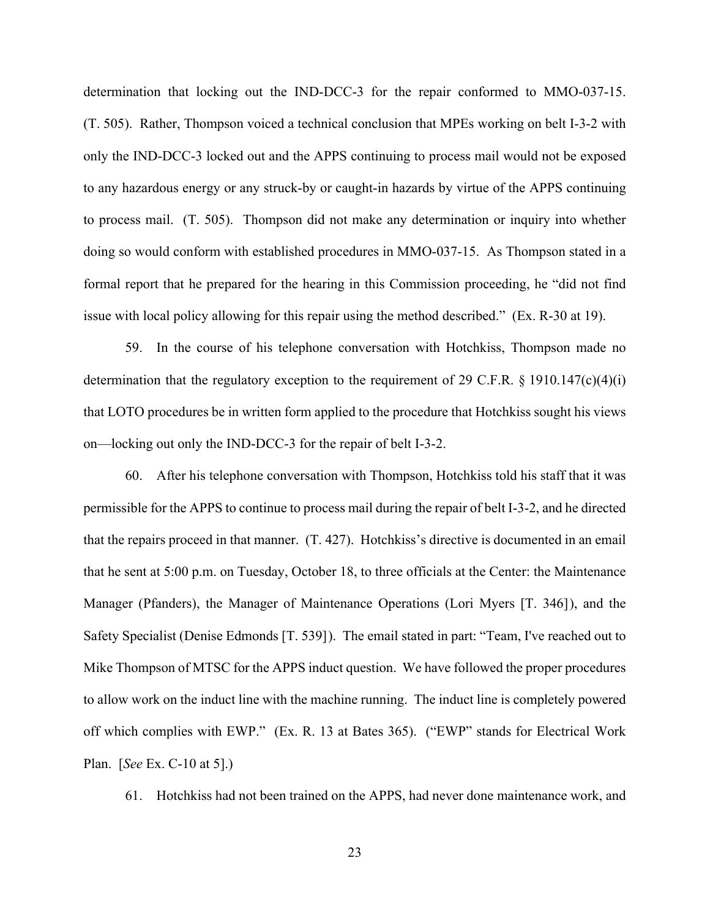determination that locking out the IND-DCC-3 for the repair conformed to MMO-037-15. (T. 505). Rather, Thompson voiced a technical conclusion that MPEs working on belt I-3-2 with only the IND-DCC-3 locked out and the APPS continuing to process mail would not be exposed to any hazardous energy or any struck-by or caught-in hazards by virtue of the APPS continuing to process mail. (T. 505). Thompson did not make any determination or inquiry into whether doing so would conform with established procedures in MMO-037-15. As Thompson stated in a formal report that he prepared for the hearing in this Commission proceeding, he "did not find issue with local policy allowing for this repair using the method described." (Ex. R-30 at 19).

59. In the course of his telephone conversation with Hotchkiss, Thompson made no determination that the regulatory exception to the requirement of 29 C.F.R.  $\S$  1910.147(c)(4)(i) that LOTO procedures be in written form applied to the procedure that Hotchkiss sought his views on—locking out only the IND-DCC-3 for the repair of belt I-3-2.

60. After his telephone conversation with Thompson, Hotchkiss told his staff that it was permissible for the APPS to continue to process mail during the repair of belt I-3-2, and he directed that the repairs proceed in that manner. (T. 427). Hotchkiss's directive is documented in an email that he sent at 5:00 p.m. on Tuesday, October 18, to three officials at the Center: the Maintenance Manager (Pfanders), the Manager of Maintenance Operations (Lori Myers [T. 346]), and the Safety Specialist (Denise Edmonds [T. 539]). The email stated in part: "Team, I've reached out to Mike Thompson of MTSC for the APPS induct question. We have followed the proper procedures to allow work on the induct line with the machine running. The induct line is completely powered off which complies with EWP." (Ex. R. 13 at Bates 365). ("EWP" stands for Electrical Work Plan. [*See* Ex. C-10 at 5].)

61. Hotchkiss had not been trained on the APPS, had never done maintenance work, and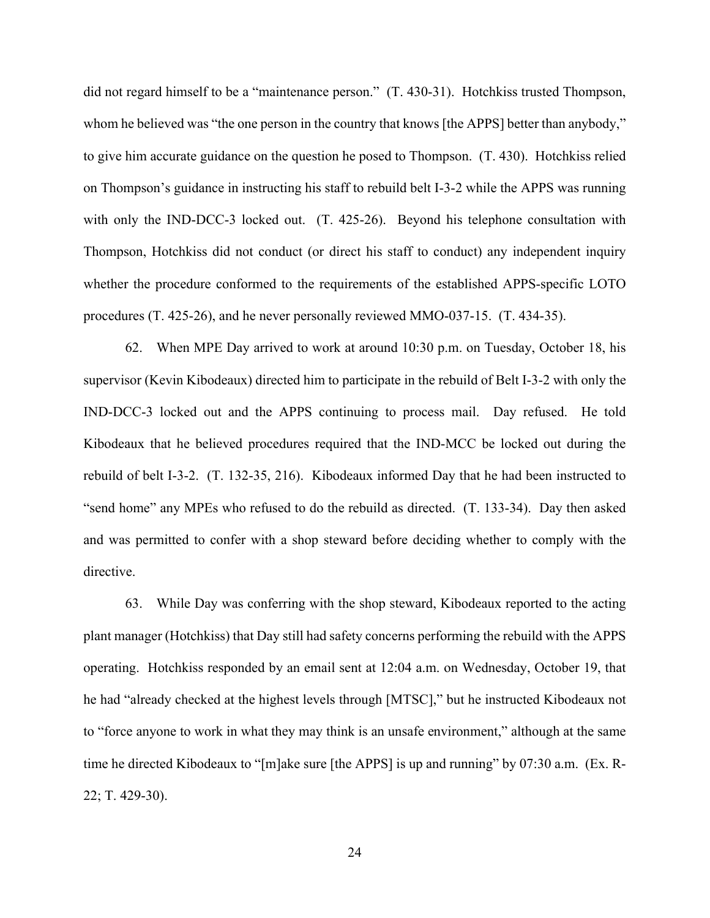did not regard himself to be a "maintenance person." (T. 430-31). Hotchkiss trusted Thompson, whom he believed was "the one person in the country that knows [the APPS] better than anybody," to give him accurate guidance on the question he posed to Thompson. (T. 430). Hotchkiss relied on Thompson's guidance in instructing his staff to rebuild belt I-3-2 while the APPS was running with only the IND-DCC-3 locked out. (T. 425-26). Beyond his telephone consultation with Thompson, Hotchkiss did not conduct (or direct his staff to conduct) any independent inquiry whether the procedure conformed to the requirements of the established APPS-specific LOTO procedures (T. 425-26), and he never personally reviewed MMO-037-15. (T. 434-35).

62. When MPE Day arrived to work at around 10:30 p.m. on Tuesday, October 18, his supervisor (Kevin Kibodeaux) directed him to participate in the rebuild of Belt I-3-2 with only the IND-DCC-3 locked out and the APPS continuing to process mail. Day refused. He told Kibodeaux that he believed procedures required that the IND-MCC be locked out during the rebuild of belt I-3-2. (T. 132-35, 216). Kibodeaux informed Day that he had been instructed to "send home" any MPEs who refused to do the rebuild as directed. (T. 133-34). Day then asked and was permitted to confer with a shop steward before deciding whether to comply with the directive.

63. While Day was conferring with the shop steward, Kibodeaux reported to the acting plant manager (Hotchkiss) that Day still had safety concerns performing the rebuild with the APPS operating. Hotchkiss responded by an email sent at 12:04 a.m. on Wednesday, October 19, that he had "already checked at the highest levels through [MTSC]," but he instructed Kibodeaux not to "force anyone to work in what they may think is an unsafe environment," although at the same time he directed Kibodeaux to "[m]ake sure [the APPS] is up and running" by 07:30 a.m. (Ex. R-22; T. 429-30).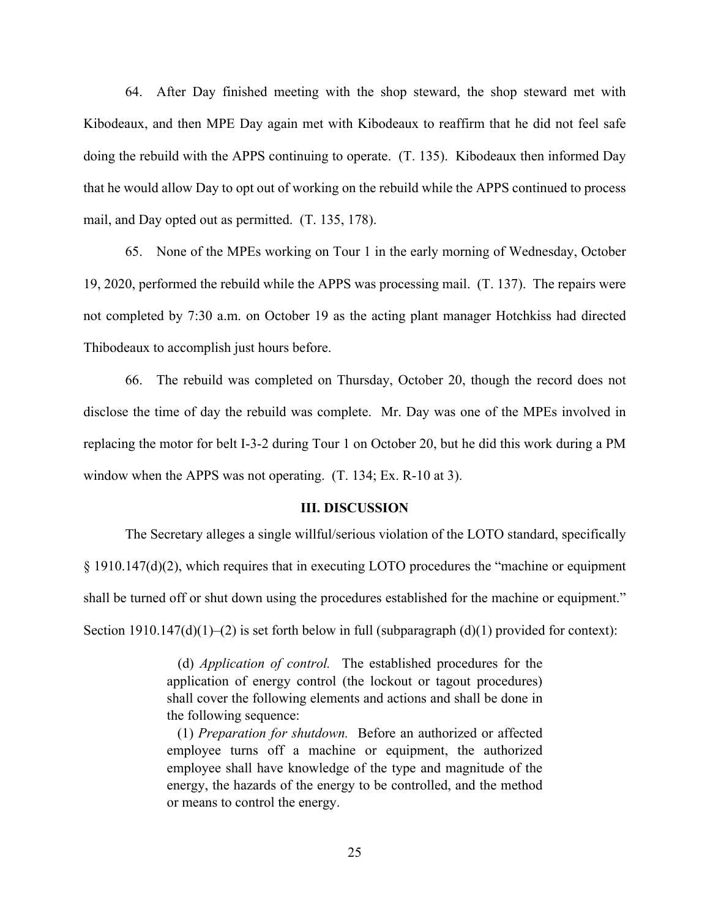64. After Day finished meeting with the shop steward, the shop steward met with Kibodeaux, and then MPE Day again met with Kibodeaux to reaffirm that he did not feel safe doing the rebuild with the APPS continuing to operate. (T. 135). Kibodeaux then informed Day that he would allow Day to opt out of working on the rebuild while the APPS continued to process mail, and Day opted out as permitted. (T. 135, 178).

65. None of the MPEs working on Tour 1 in the early morning of Wednesday, October 19, 2020, performed the rebuild while the APPS was processing mail. (T. 137). The repairs were not completed by 7:30 a.m. on October 19 as the acting plant manager Hotchkiss had directed Thibodeaux to accomplish just hours before.

66. The rebuild was completed on Thursday, October 20, though the record does not disclose the time of day the rebuild was complete. Mr. Day was one of the MPEs involved in replacing the motor for belt I-3-2 during Tour 1 on October 20, but he did this work during a PM window when the APPS was not operating. (T. 134; Ex. R-10 at 3).

#### **III. DISCUSSION**

The Secretary alleges a single willful/serious violation of the LOTO standard, specifically § 1910.147(d)(2), which requires that in executing LOTO procedures the "machine or equipment shall be turned off or shut down using the procedures established for the machine or equipment." Section 1910.147(d)(1)–(2) is set forth below in full (subparagraph  $(d)(1)$  provided for context):

> (d) *Application of control.* The established procedures for the application of energy control (the lockout or tagout procedures) shall cover the following elements and actions and shall be done in the following sequence:

> (1) *Preparation for shutdown.* Before an authorized or affected employee turns off a machine or equipment, the authorized employee shall have knowledge of the type and magnitude of the energy, the hazards of the energy to be controlled, and the method or means to control the energy.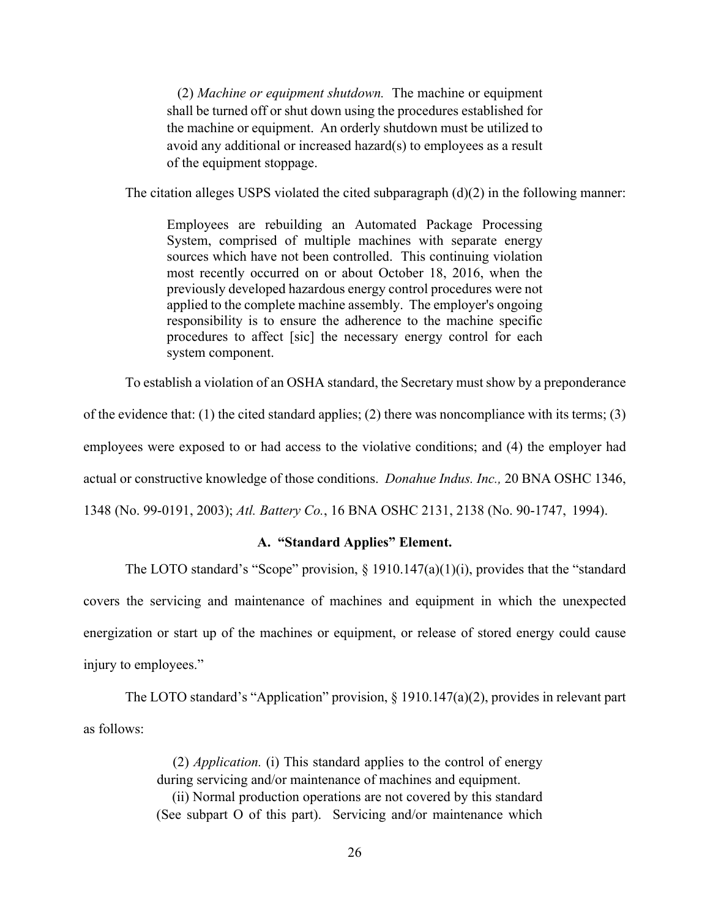(2) *Machine or equipment shutdown.* The machine or equipment shall be turned off or shut down using the procedures established for the machine or equipment. An orderly shutdown must be utilized to avoid any additional or increased hazard(s) to employees as a result of the equipment stoppage.

The citation alleges USPS violated the cited subparagraph  $(d)(2)$  in the following manner:

Employees are rebuilding an Automated Package Processing System, comprised of multiple machines with separate energy sources which have not been controlled. This continuing violation most recently occurred on or about October 18, 2016, when the previously developed hazardous energy control procedures were not applied to the complete machine assembly. The employer's ongoing responsibility is to ensure the adherence to the machine specific procedures to affect [sic] the necessary energy control for each system component.

To establish a violation of an OSHA standard, the Secretary must show by a preponderance

of the evidence that: (1) the cited standard applies; (2) there was noncompliance with its terms; (3)

employees were exposed to or had access to the violative conditions; and (4) the employer had

actual or constructive knowledge of those conditions. *Donahue Indus. Inc.,* 20 BNA OSHC 1346,

1348 (No. 99-0191, 2003); *Atl. Battery Co.*, 16 BNA OSHC 2131, 2138 (No. 90-1747, 1994).

# **A. "Standard Applies" Element.**

The LOTO standard's "Scope" provision,  $\S$  1910.147(a)(1)(i), provides that the "standard covers the servicing and maintenance of machines and equipment in which the unexpected energization or start up of the machines or equipment, or release of stored energy could cause injury to employees."

The LOTO standard's "Application" provision, § 1910.147(a)(2), provides in relevant part as follows:

> (2) *Application.* (i) This standard applies to the control of energy during servicing and/or maintenance of machines and equipment. (ii) Normal production operations are not covered by this standard (See subpart O of this part). Servicing and/or maintenance which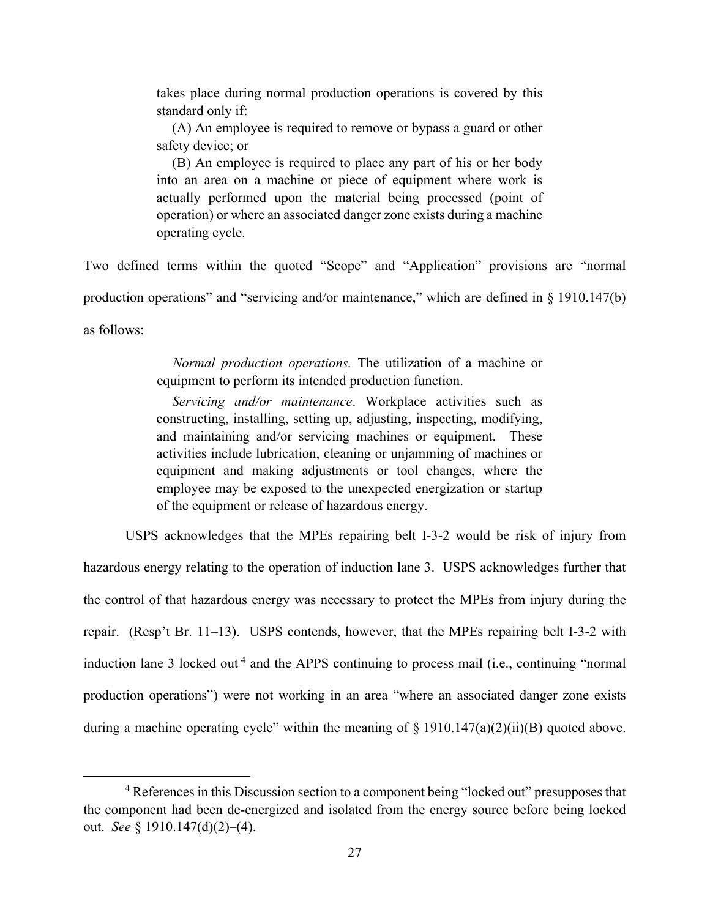takes place during normal production operations is covered by this standard only if:

(A) An employee is required to remove or bypass a guard or other safety device; or

(B) An employee is required to place any part of his or her body into an area on a machine or piece of equipment where work is actually performed upon the material being processed (point of operation) or where an associated danger zone exists during a machine operating cycle.

Two defined terms within the quoted "Scope" and "Application" provisions are "normal production operations" and "servicing and/or maintenance," which are defined in § 1910.147(b) as follows:

> *Normal production operations.* The utilization of a machine or equipment to perform its intended production function.

> *Servicing and/or maintenance*. Workplace activities such as constructing, installing, setting up, adjusting, inspecting, modifying, and maintaining and/or servicing machines or equipment. These activities include lubrication, cleaning or unjamming of machines or equipment and making adjustments or tool changes, where the employee may be exposed to the unexpected energization or startup of the equipment or release of hazardous energy.

USPS acknowledges that the MPEs repairing belt I-3-2 would be risk of injury from hazardous energy relating to the operation of induction lane 3. USPS acknowledges further that the control of that hazardous energy was necessary to protect the MPEs from injury during the repair. (Resp't Br. 11–13). USPS contends, however, that the MPEs repairing belt I-3-2 with induction lane 3 locked out<sup>4</sup> and the APPS continuing to process mail (i.e., continuing "normal production operations") were not working in an area "where an associated danger zone exists during a machine operating cycle" within the meaning of  $\S$  1910.147(a)(2)(ii)(B) quoted above.

<sup>&</sup>lt;sup>4</sup> References in this Discussion section to a component being "locked out" presupposes that the component had been de-energized and isolated from the energy source before being locked out. *See* § 1910.147(d)(2)–(4).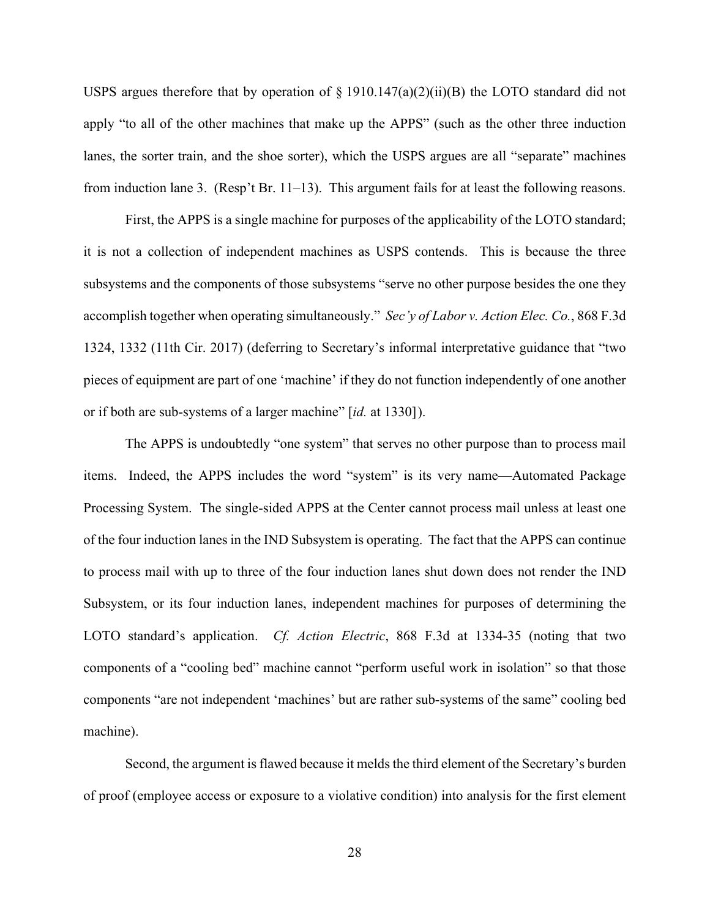USPS argues therefore that by operation of  $\S$  1910.147(a)(2)(ii)(B) the LOTO standard did not apply "to all of the other machines that make up the APPS" (such as the other three induction lanes, the sorter train, and the shoe sorter), which the USPS argues are all "separate" machines from induction lane 3. (Resp't Br. 11–13). This argument fails for at least the following reasons.

First, the APPS is a single machine for purposes of the applicability of the LOTO standard; it is not a collection of independent machines as USPS contends. This is because the three subsystems and the components of those subsystems "serve no other purpose besides the one they accomplish together when operating simultaneously." *Sec'y of Labor v. Action Elec. Co.*, 868 F.3d 1324, 1332 (11th Cir. 2017) (deferring to Secretary's informal interpretative guidance that "two pieces of equipment are part of one 'machine' if they do not function independently of one another or if both are sub-systems of a larger machine" [*id.* at 1330]).

The APPS is undoubtedly "one system" that serves no other purpose than to process mail items. Indeed, the APPS includes the word "system" is its very name—Automated Package Processing System. The single-sided APPS at the Center cannot process mail unless at least one of the four induction lanes in the IND Subsystem is operating. The fact that the APPS can continue to process mail with up to three of the four induction lanes shut down does not render the IND Subsystem, or its four induction lanes, independent machines for purposes of determining the LOTO standard's application. *Cf. Action Electric*, 868 F.3d at 1334-35 (noting that two components of a "cooling bed" machine cannot "perform useful work in isolation" so that those components "are not independent 'machines' but are rather sub-systems of the same" cooling bed machine).

Second, the argument is flawed because it melds the third element of the Secretary's burden of proof (employee access or exposure to a violative condition) into analysis for the first element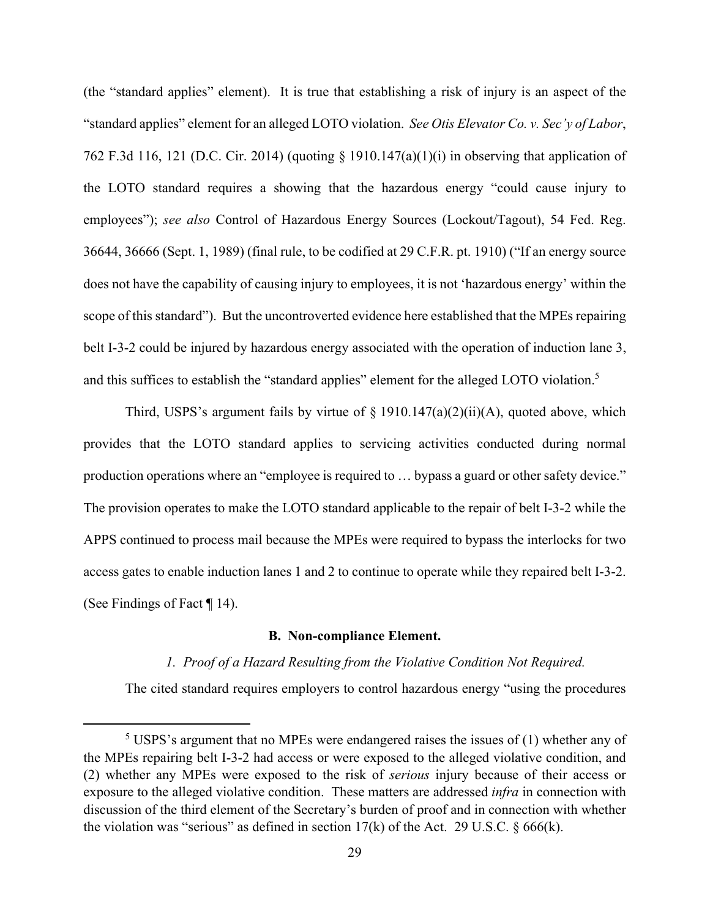(the "standard applies" element). It is true that establishing a risk of injury is an aspect of the "standard applies" element for an alleged LOTO violation. *See Otis Elevator Co. v. Sec'y of Labor*, 762 F.3d 116, 121 (D.C. Cir. 2014) (quoting § 1910.147(a)(1)(i) in observing that application of the LOTO standard requires a showing that the hazardous energy "could cause injury to employees"); *see also* Control of Hazardous Energy Sources (Lockout/Tagout), 54 Fed. Reg. 36644, 36666 (Sept. 1, 1989) (final rule, to be codified at 29 C.F.R. pt. 1910) ("If an energy source does not have the capability of causing injury to employees, it is not 'hazardous energy' within the scope of this standard"). But the uncontroverted evidence here established that the MPEs repairing belt I-3-2 could be injured by hazardous energy associated with the operation of induction lane 3, and this suffices to establish the "standard applies" element for the alleged LOTO violation.<sup>5</sup>

Third, USPS's argument fails by virtue of  $\S 1910.147(a)(2)(ii)(A)$ , quoted above, which provides that the LOTO standard applies to servicing activities conducted during normal production operations where an "employee is required to … bypass a guard or other safety device." The provision operates to make the LOTO standard applicable to the repair of belt I-3-2 while the APPS continued to process mail because the MPEs were required to bypass the interlocks for two access gates to enable induction lanes 1 and 2 to continue to operate while they repaired belt I-3-2. (See Findings of Fact ¶ 14).

#### **B. Non-compliance Element.**

# *1. Proof of a Hazard Resulting from the Violative Condition Not Required.*

The cited standard requires employers to control hazardous energy "using the procedures

 $5$  USPS's argument that no MPEs were endangered raises the issues of (1) whether any of the MPEs repairing belt I-3-2 had access or were exposed to the alleged violative condition, and (2) whether any MPEs were exposed to the risk of *serious* injury because of their access or exposure to the alleged violative condition. These matters are addressed *infra* in connection with discussion of the third element of the Secretary's burden of proof and in connection with whether the violation was "serious" as defined in section  $17(k)$  of the Act. 29 U.S.C. § 666(k).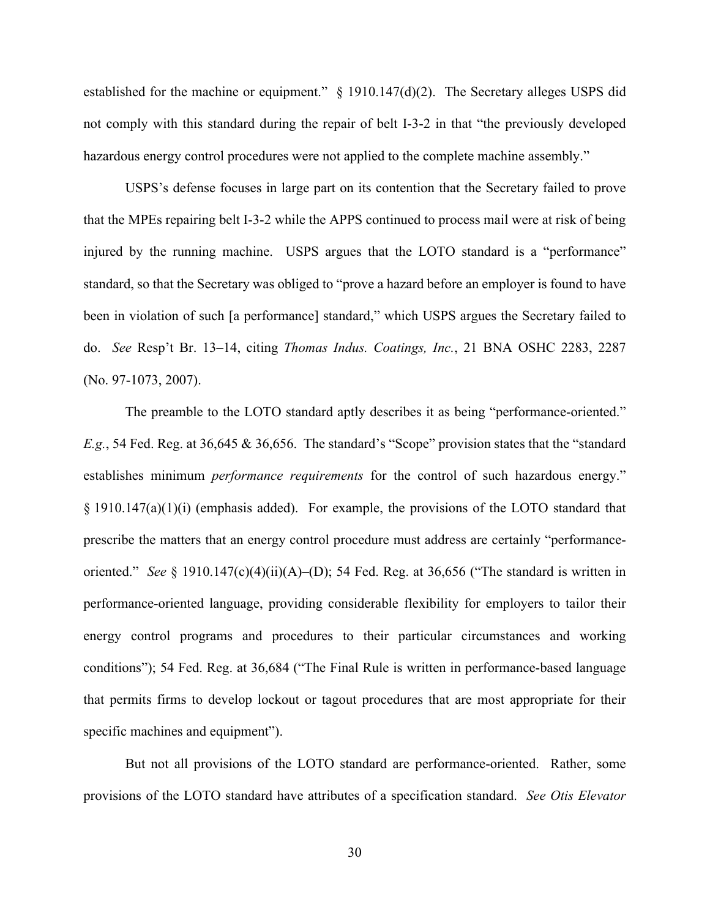established for the machine or equipment." § 1910.147(d)(2). The Secretary alleges USPS did not comply with this standard during the repair of belt I-3-2 in that "the previously developed hazardous energy control procedures were not applied to the complete machine assembly."

USPS's defense focuses in large part on its contention that the Secretary failed to prove that the MPEs repairing belt I-3-2 while the APPS continued to process mail were at risk of being injured by the running machine. USPS argues that the LOTO standard is a "performance" standard, so that the Secretary was obliged to "prove a hazard before an employer is found to have been in violation of such [a performance] standard," which USPS argues the Secretary failed to do. *See* Resp't Br. 13–14, citing *Thomas Indus. Coatings, Inc.*, 21 BNA OSHC 2283, 2287 (No. 97-1073, 2007).

The preamble to the LOTO standard aptly describes it as being "performance-oriented." *E.g.*, 54 Fed. Reg. at 36,645 & 36,656. The standard's "Scope" provision states that the "standard establishes minimum *performance requirements* for the control of such hazardous energy." § 1910.147(a)(1)(i) (emphasis added). For example, the provisions of the LOTO standard that prescribe the matters that an energy control procedure must address are certainly "performanceoriented." *See* § 1910.147(c)(4)(ii)(A)–(D); 54 Fed. Reg. at 36,656 ("The standard is written in performance-oriented language, providing considerable flexibility for employers to tailor their energy control programs and procedures to their particular circumstances and working conditions"); 54 Fed. Reg. at 36,684 ("The Final Rule is written in performance-based language that permits firms to develop lockout or tagout procedures that are most appropriate for their specific machines and equipment").

But not all provisions of the LOTO standard are performance-oriented. Rather, some provisions of the LOTO standard have attributes of a specification standard. *See Otis Elevator*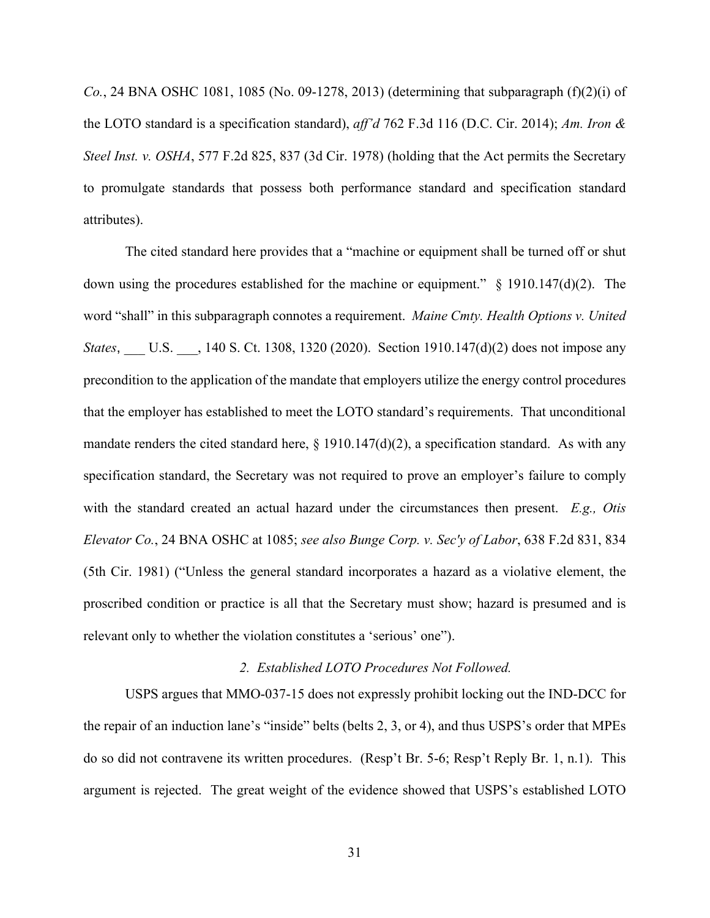*Co.*, 24 BNA OSHC 1081, 1085 (No. 09-1278, 2013) (determining that subparagraph (f)(2)(i) of the LOTO standard is a specification standard), *aff'd* 762 F.3d 116 (D.C. Cir. 2014); *Am. Iron & Steel Inst. v. OSHA*, 577 F.2d 825, 837 (3d Cir. 1978) (holding that the Act permits the Secretary to promulgate standards that possess both performance standard and specification standard attributes).

The cited standard here provides that a "machine or equipment shall be turned off or shut down using the procedures established for the machine or equipment."  $\S$  1910.147(d)(2). The word "shall" in this subparagraph connotes a requirement. *Maine Cmty. Health Options v. United States*, U.S. , 140 S. Ct. 1308, 1320 (2020). Section 1910.147(d)(2) does not impose any precondition to the application of the mandate that employers utilize the energy control procedures that the employer has established to meet the LOTO standard's requirements. That unconditional mandate renders the cited standard here,  $\S$  1910.147(d)(2), a specification standard. As with any specification standard, the Secretary was not required to prove an employer's failure to comply with the standard created an actual hazard under the circumstances then present. *E.g., Otis Elevator Co.*, 24 BNA OSHC at 1085; *see also Bunge Corp. v. Sec'y of Labor*, 638 F.2d 831, 834 (5th Cir. 1981) ("Unless the general standard incorporates a hazard as a violative element, the proscribed condition or practice is all that the Secretary must show; hazard is presumed and is relevant only to whether the violation constitutes a 'serious' one").

# *2. Established LOTO Procedures Not Followed.*

USPS argues that MMO-037-15 does not expressly prohibit locking out the IND-DCC for the repair of an induction lane's "inside" belts (belts 2, 3, or 4), and thus USPS's order that MPEs do so did not contravene its written procedures. (Resp't Br. 5-6; Resp't Reply Br. 1, n.1). This argument is rejected. The great weight of the evidence showed that USPS's established LOTO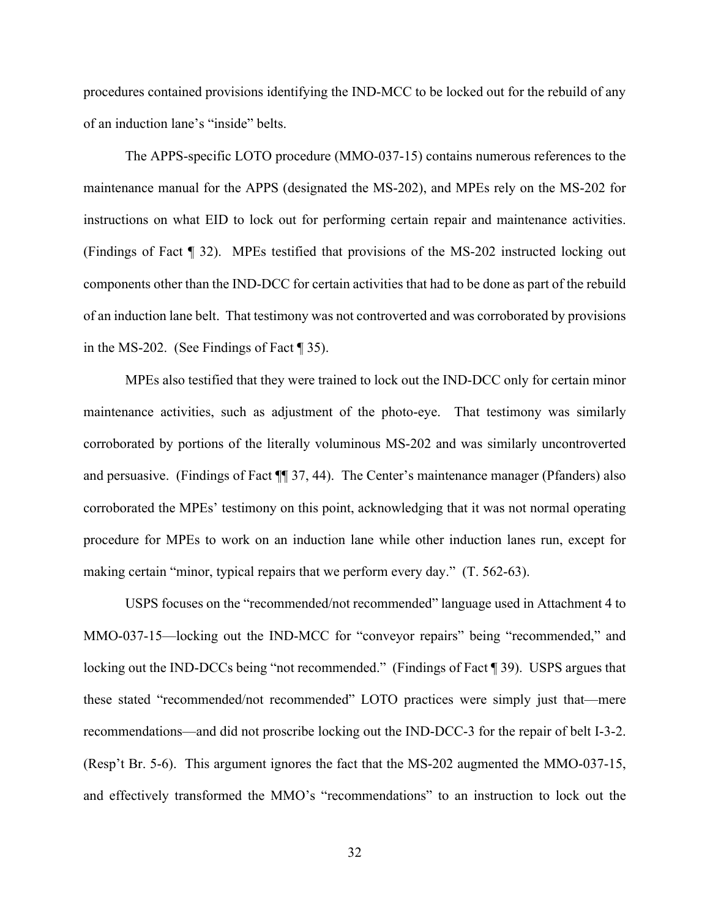procedures contained provisions identifying the IND-MCC to be locked out for the rebuild of any of an induction lane's "inside" belts.

The APPS-specific LOTO procedure (MMO-037-15) contains numerous references to the maintenance manual for the APPS (designated the MS-202), and MPEs rely on the MS-202 for instructions on what EID to lock out for performing certain repair and maintenance activities. (Findings of Fact ¶ 32). MPEs testified that provisions of the MS-202 instructed locking out components other than the IND-DCC for certain activities that had to be done as part of the rebuild of an induction lane belt. That testimony was not controverted and was corroborated by provisions in the MS-202. (See Findings of Fact ¶ 35).

MPEs also testified that they were trained to lock out the IND-DCC only for certain minor maintenance activities, such as adjustment of the photo-eye. That testimony was similarly corroborated by portions of the literally voluminous MS-202 and was similarly uncontroverted and persuasive. (Findings of Fact ¶¶ 37, 44). The Center's maintenance manager (Pfanders) also corroborated the MPEs' testimony on this point, acknowledging that it was not normal operating procedure for MPEs to work on an induction lane while other induction lanes run, except for making certain "minor, typical repairs that we perform every day." (T. 562-63).

USPS focuses on the "recommended/not recommended" language used in Attachment 4 to MMO-037-15—locking out the IND-MCC for "conveyor repairs" being "recommended," and locking out the IND-DCCs being "not recommended." (Findings of Fact ¶ 39). USPS argues that these stated "recommended/not recommended" LOTO practices were simply just that—mere recommendations—and did not proscribe locking out the IND-DCC-3 for the repair of belt I-3-2. (Resp't Br. 5-6). This argument ignores the fact that the MS-202 augmented the MMO-037-15, and effectively transformed the MMO's "recommendations" to an instruction to lock out the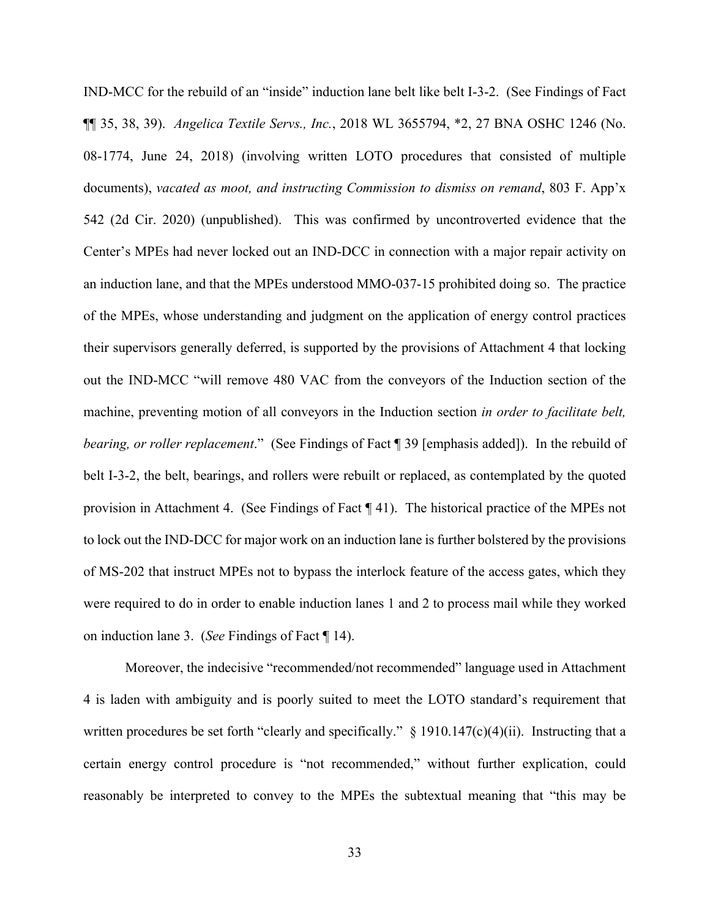IND-MCC for the rebuild of an "inside" induction lane belt like belt I-3-2. (See Findings of Fact ¶¶ 35, 38, 39). *Angelica Textile Servs., Inc.*, 2018 WL 3655794, \*2, 27 BNA OSHC 1246 (No. 08-1774, June 24, 2018) (involving written LOTO procedures that consisted of multiple documents), *vacated as moot, and instructing Commission to dismiss on remand*, 803 F. App'x 542 (2d Cir. 2020) (unpublished). This was confirmed by uncontroverted evidence that the Center's MPEs had never locked out an IND-DCC in connection with a major repair activity on an induction lane, and that the MPEs understood MMO-037-15 prohibited doing so. The practice of the MPEs, whose understanding and judgment on the application of energy control practices their supervisors generally deferred, is supported by the provisions of Attachment 4 that locking out the IND-MCC "will remove 480 VAC from the conveyors of the Induction section of the machine, preventing motion of all conveyors in the Induction section *in order to facilitate belt, bearing, or roller replacement*." (See Findings of Fact ¶ 39 [emphasis added]). In the rebuild of belt I-3-2, the belt, bearings, and rollers were rebuilt or replaced, as contemplated by the quoted provision in Attachment 4. (See Findings of Fact ¶ 41). The historical practice of the MPEs not to lock out the IND-DCC for major work on an induction lane is further bolstered by the provisions of MS-202 that instruct MPEs not to bypass the interlock feature of the access gates, which they were required to do in order to enable induction lanes 1 and 2 to process mail while they worked on induction lane 3. (*See* Findings of Fact ¶ 14).

Moreover, the indecisive "recommended/not recommended" language used in Attachment 4 is laden with ambiguity and is poorly suited to meet the LOTO standard's requirement that written procedures be set forth "clearly and specifically." § 1910.147(c)(4)(ii). Instructing that a certain energy control procedure is "not recommended," without further explication, could reasonably be interpreted to convey to the MPEs the subtextual meaning that "this may be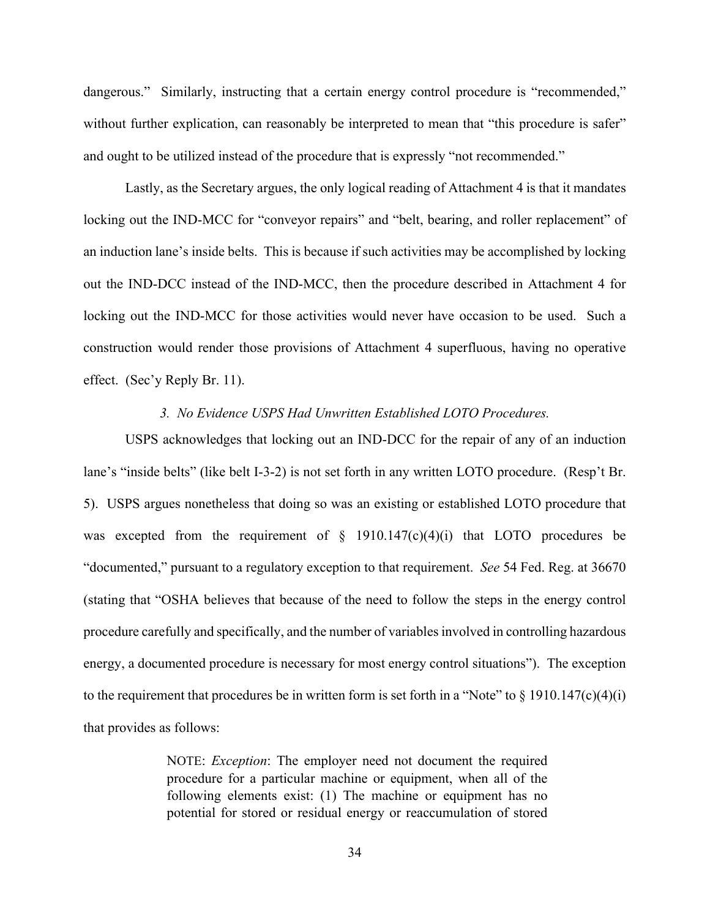dangerous." Similarly, instructing that a certain energy control procedure is "recommended," without further explication, can reasonably be interpreted to mean that "this procedure is safer" and ought to be utilized instead of the procedure that is expressly "not recommended."

Lastly, as the Secretary argues, the only logical reading of Attachment 4 is that it mandates locking out the IND-MCC for "conveyor repairs" and "belt, bearing, and roller replacement" of an induction lane's inside belts. This is because if such activities may be accomplished by locking out the IND-DCC instead of the IND-MCC, then the procedure described in Attachment 4 for locking out the IND-MCC for those activities would never have occasion to be used. Such a construction would render those provisions of Attachment 4 superfluous, having no operative effect. (Sec'y Reply Br. 11).

## *3. No Evidence USPS Had Unwritten Established LOTO Procedures.*

USPS acknowledges that locking out an IND-DCC for the repair of any of an induction lane's "inside belts" (like belt I-3-2) is not set forth in any written LOTO procedure. (Resp't Br. 5). USPS argues nonetheless that doing so was an existing or established LOTO procedure that was excepted from the requirement of  $\S$  1910.147(c)(4)(i) that LOTO procedures be "documented," pursuant to a regulatory exception to that requirement. *See* 54 Fed. Reg. at 36670 (stating that "OSHA believes that because of the need to follow the steps in the energy control procedure carefully and specifically, and the number of variables involved in controlling hazardous energy, a documented procedure is necessary for most energy control situations"). The exception to the requirement that procedures be in written form is set forth in a "Note" to  $\S$  1910.147(c)(4)(i) that provides as follows:

> NOTE: *Exception*: The employer need not document the required procedure for a particular machine or equipment, when all of the following elements exist: (1) The machine or equipment has no potential for stored or residual energy or reaccumulation of stored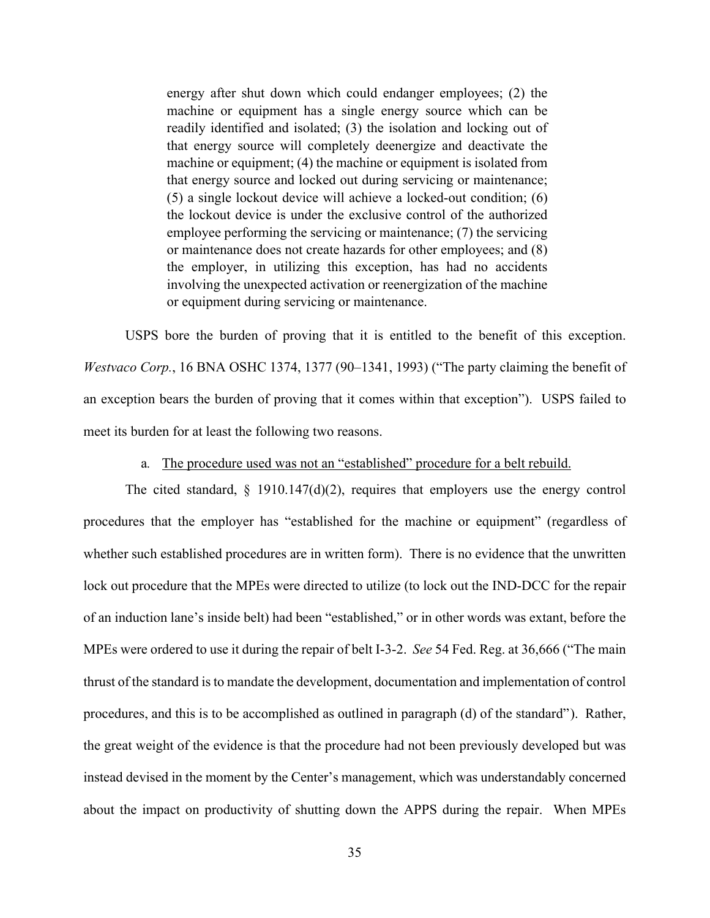energy after shut down which could endanger employees; (2) the machine or equipment has a single energy source which can be readily identified and isolated; (3) the isolation and locking out of that energy source will completely deenergize and deactivate the machine or equipment; (4) the machine or equipment is isolated from that energy source and locked out during servicing or maintenance; (5) a single lockout device will achieve a locked-out condition; (6) the lockout device is under the exclusive control of the authorized employee performing the servicing or maintenance; (7) the servicing or maintenance does not create hazards for other employees; and (8) the employer, in utilizing this exception, has had no accidents involving the unexpected activation or reenergization of the machine or equipment during servicing or maintenance.

USPS bore the burden of proving that it is entitled to the benefit of this exception. *Westvaco Corp.*, 16 BNA OSHC 1374, 1377 (90–1341, 1993) ("The party claiming the benefit of an exception bears the burden of proving that it comes within that exception"). USPS failed to meet its burden for at least the following two reasons.

# a*.* The procedure used was not an "established" procedure for a belt rebuild.

The cited standard,  $\S$  1910.147(d)(2), requires that employers use the energy control procedures that the employer has "established for the machine or equipment" (regardless of whether such established procedures are in written form). There is no evidence that the unwritten lock out procedure that the MPEs were directed to utilize (to lock out the IND-DCC for the repair of an induction lane's inside belt) had been "established," or in other words was extant, before the MPEs were ordered to use it during the repair of belt I-3-2. *See* 54 Fed. Reg. at 36,666 ("The main thrust of the standard is to mandate the development, documentation and implementation of control procedures, and this is to be accomplished as outlined in paragraph (d) of the standard"). Rather, the great weight of the evidence is that the procedure had not been previously developed but was instead devised in the moment by the Center's management, which was understandably concerned about the impact on productivity of shutting down the APPS during the repair. When MPEs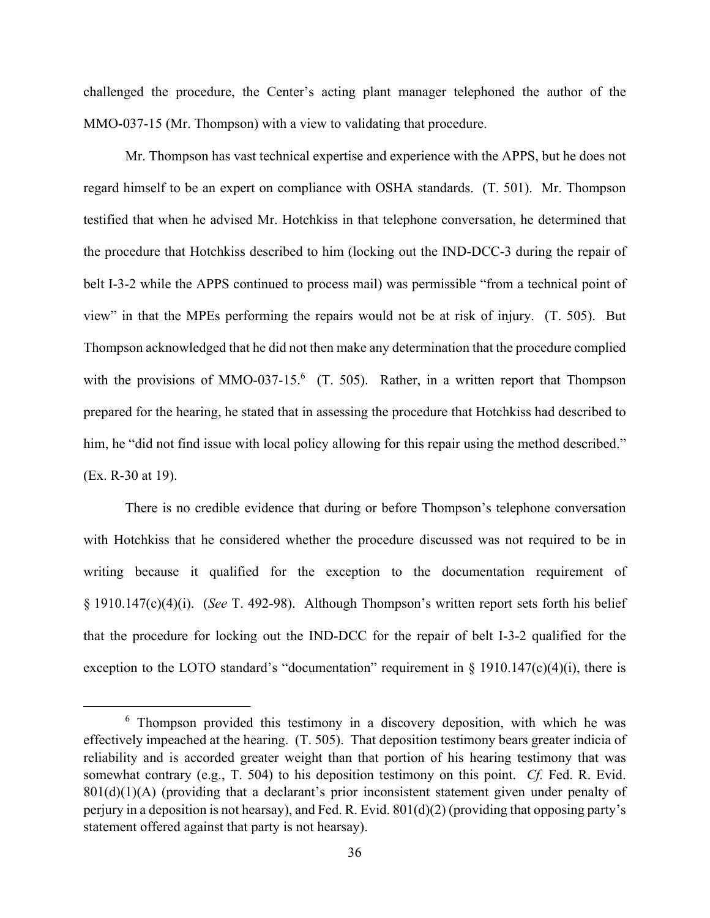challenged the procedure, the Center's acting plant manager telephoned the author of the MMO-037-15 (Mr. Thompson) with a view to validating that procedure.

Mr. Thompson has vast technical expertise and experience with the APPS, but he does not regard himself to be an expert on compliance with OSHA standards. (T. 501). Mr. Thompson testified that when he advised Mr. Hotchkiss in that telephone conversation, he determined that the procedure that Hotchkiss described to him (locking out the IND-DCC-3 during the repair of belt I-3-2 while the APPS continued to process mail) was permissible "from a technical point of view" in that the MPEs performing the repairs would not be at risk of injury. (T. 505). But Thompson acknowledged that he did not then make any determination that the procedure complied with the provisions of MMO-037-15.<sup>6</sup> (T. 505). Rather, in a written report that Thompson prepared for the hearing, he stated that in assessing the procedure that Hotchkiss had described to him, he "did not find issue with local policy allowing for this repair using the method described." (Ex. R-30 at 19).

There is no credible evidence that during or before Thompson's telephone conversation with Hotchkiss that he considered whether the procedure discussed was not required to be in writing because it qualified for the exception to the documentation requirement of § 1910.147(c)(4)(i). (*See* T. 492-98). Although Thompson's written report sets forth his belief that the procedure for locking out the IND-DCC for the repair of belt I-3-2 qualified for the exception to the LOTO standard's "documentation" requirement in  $\S$  1910.147(c)(4)(i), there is

<sup>&</sup>lt;sup>6</sup> Thompson provided this testimony in a discovery deposition, with which he was effectively impeached at the hearing. (T. 505). That deposition testimony bears greater indicia of reliability and is accorded greater weight than that portion of his hearing testimony that was somewhat contrary (e.g., T. 504) to his deposition testimony on this point. *Cf.* Fed. R. Evid. 801(d)(1)(A) (providing that a declarant's prior inconsistent statement given under penalty of perjury in a deposition is not hearsay), and Fed. R. Evid. 801(d)(2) (providing that opposing party's statement offered against that party is not hearsay).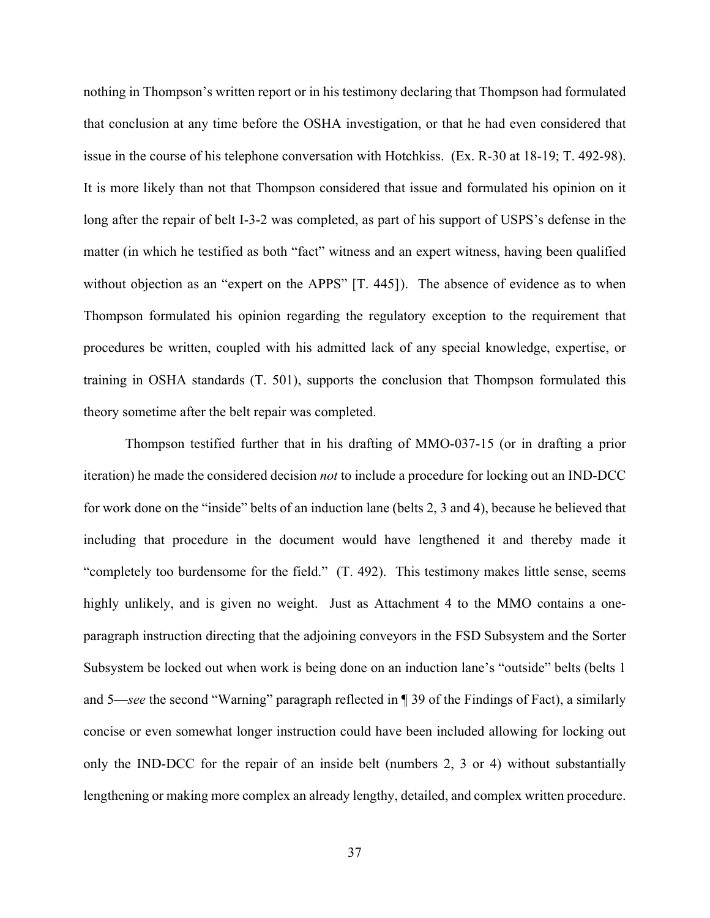nothing in Thompson's written report or in his testimony declaring that Thompson had formulated that conclusion at any time before the OSHA investigation, or that he had even considered that issue in the course of his telephone conversation with Hotchkiss. (Ex. R-30 at 18-19; T. 492-98). It is more likely than not that Thompson considered that issue and formulated his opinion on it long after the repair of belt I-3-2 was completed, as part of his support of USPS's defense in the matter (in which he testified as both "fact" witness and an expert witness, having been qualified without objection as an "expert on the APPS" [T. 445]). The absence of evidence as to when Thompson formulated his opinion regarding the regulatory exception to the requirement that procedures be written, coupled with his admitted lack of any special knowledge, expertise, or training in OSHA standards (T. 501), supports the conclusion that Thompson formulated this theory sometime after the belt repair was completed.

Thompson testified further that in his drafting of MMO-037-15 (or in drafting a prior iteration) he made the considered decision *not* to include a procedure for locking out an IND-DCC for work done on the "inside" belts of an induction lane (belts 2, 3 and 4), because he believed that including that procedure in the document would have lengthened it and thereby made it "completely too burdensome for the field." (T. 492). This testimony makes little sense, seems highly unlikely, and is given no weight. Just as Attachment 4 to the MMO contains a oneparagraph instruction directing that the adjoining conveyors in the FSD Subsystem and the Sorter Subsystem be locked out when work is being done on an induction lane's "outside" belts (belts 1 and 5—*see* the second "Warning" paragraph reflected in ¶ 39 of the Findings of Fact), a similarly concise or even somewhat longer instruction could have been included allowing for locking out only the IND-DCC for the repair of an inside belt (numbers 2, 3 or 4) without substantially lengthening or making more complex an already lengthy, detailed, and complex written procedure.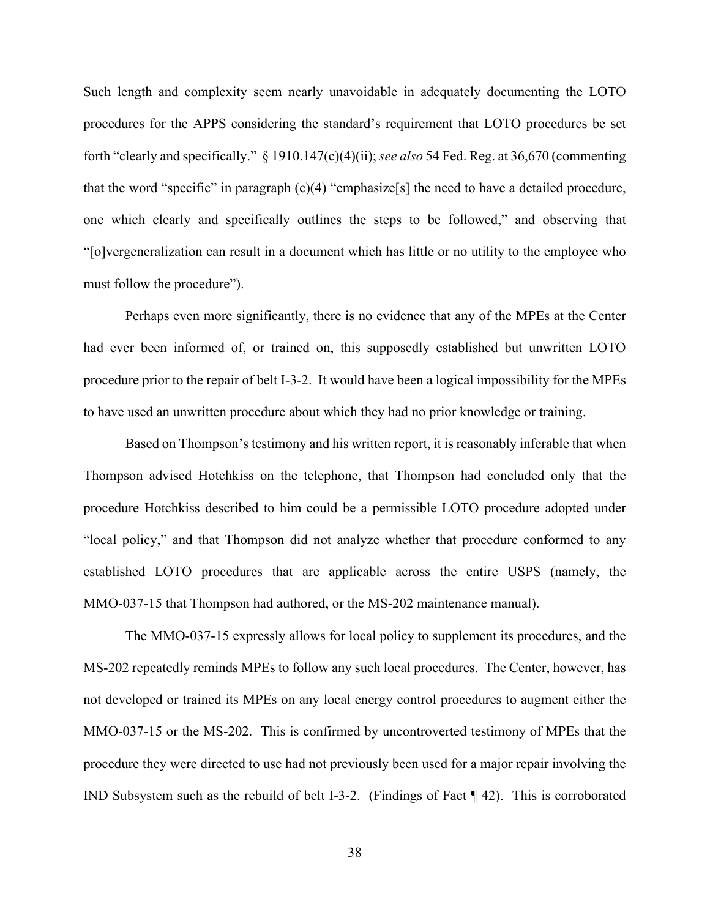Such length and complexity seem nearly unavoidable in adequately documenting the LOTO procedures for the APPS considering the standard's requirement that LOTO procedures be set forth "clearly and specifically." § 1910.147(c)(4)(ii); *see also* 54 Fed. Reg. at 36,670 (commenting that the word "specific" in paragraph  $(c)(4)$  "emphasize<sup>[s]</sup> the need to have a detailed procedure, one which clearly and specifically outlines the steps to be followed," and observing that "[o]vergeneralization can result in a document which has little or no utility to the employee who must follow the procedure").

Perhaps even more significantly, there is no evidence that any of the MPEs at the Center had ever been informed of, or trained on, this supposedly established but unwritten LOTO procedure prior to the repair of belt I-3-2. It would have been a logical impossibility for the MPEs to have used an unwritten procedure about which they had no prior knowledge or training.

Based on Thompson's testimony and his written report, it is reasonably inferable that when Thompson advised Hotchkiss on the telephone, that Thompson had concluded only that the procedure Hotchkiss described to him could be a permissible LOTO procedure adopted under "local policy," and that Thompson did not analyze whether that procedure conformed to any established LOTO procedures that are applicable across the entire USPS (namely, the MMO-037-15 that Thompson had authored, or the MS-202 maintenance manual).

The MMO-037-15 expressly allows for local policy to supplement its procedures, and the MS-202 repeatedly reminds MPEs to follow any such local procedures. The Center, however, has not developed or trained its MPEs on any local energy control procedures to augment either the MMO-037-15 or the MS-202. This is confirmed by uncontroverted testimony of MPEs that the procedure they were directed to use had not previously been used for a major repair involving the IND Subsystem such as the rebuild of belt I-3-2. (Findings of Fact ¶ 42). This is corroborated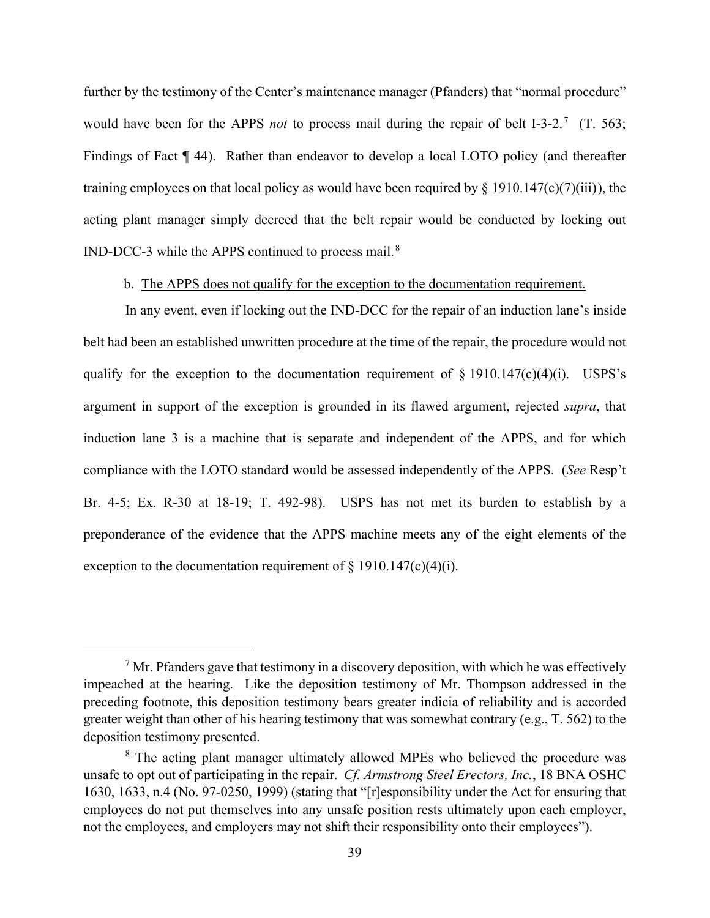further by the testimony of the Center's maintenance manager (Pfanders) that "normal procedure" would have been for the APPS *not* to process mail during the repair of belt I-3-2.<sup>7</sup> (T. 563; Findings of Fact ¶ 44). Rather than endeavor to develop a local LOTO policy (and thereafter training employees on that local policy as would have been required by  $\S$  1910.147(c)(7)(iii)), the acting plant manager simply decreed that the belt repair would be conducted by locking out IND-DCC-3 while the APPS continued to process mail. $8$ 

b. The APPS does not qualify for the exception to the documentation requirement.

In any event, even if locking out the IND-DCC for the repair of an induction lane's inside belt had been an established unwritten procedure at the time of the repair, the procedure would not qualify for the exception to the documentation requirement of  $\S$  1910.147(c)(4)(i). USPS's argument in support of the exception is grounded in its flawed argument, rejected *supra*, that induction lane 3 is a machine that is separate and independent of the APPS, and for which compliance with the LOTO standard would be assessed independently of the APPS. (*See* Resp't Br. 4-5; Ex. R-30 at 18-19; T. 492-98). USPS has not met its burden to establish by a preponderance of the evidence that the APPS machine meets any of the eight elements of the exception to the documentation requirement of  $\S$  1910.147(c)(4)(i).

 $7$  Mr. Pfanders gave that testimony in a discovery deposition, with which he was effectively impeached at the hearing. Like the deposition testimony of Mr. Thompson addressed in the preceding footnote, this deposition testimony bears greater indicia of reliability and is accorded greater weight than other of his hearing testimony that was somewhat contrary (e.g., T. 562) to the deposition testimony presented.

<sup>&</sup>lt;sup>8</sup> The acting plant manager ultimately allowed MPEs who believed the procedure was unsafe to opt out of participating in the repair. *Cf. Armstrong Steel Erectors, Inc.*, 18 BNA OSHC 1630, 1633, n.4 (No. 97-0250, 1999) (stating that "[r]esponsibility under the Act for ensuring that employees do not put themselves into any unsafe position rests ultimately upon each employer, not the employees, and employers may not shift their responsibility onto their employees").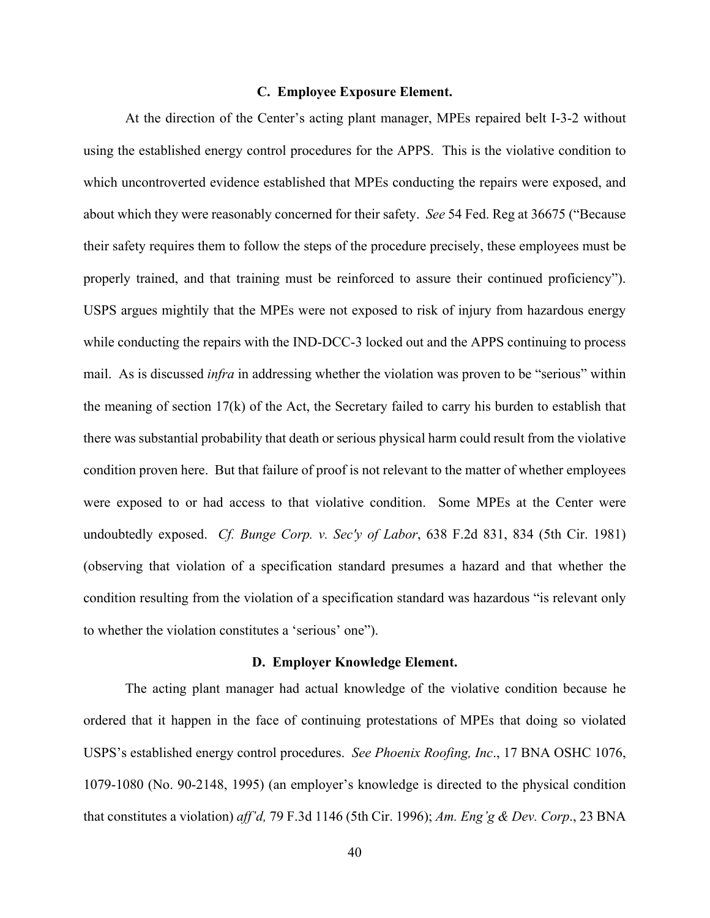## **C. Employee Exposure Element.**

At the direction of the Center's acting plant manager, MPEs repaired belt I-3-2 without using the established energy control procedures for the APPS. This is the violative condition to which uncontroverted evidence established that MPEs conducting the repairs were exposed, and about which they were reasonably concerned for their safety. *See* 54 Fed. Reg at 36675 ("Because their safety requires them to follow the steps of the procedure precisely, these employees must be properly trained, and that training must be reinforced to assure their continued proficiency"). USPS argues mightily that the MPEs were not exposed to risk of injury from hazardous energy while conducting the repairs with the IND-DCC-3 locked out and the APPS continuing to process mail. As is discussed *infra* in addressing whether the violation was proven to be "serious" within the meaning of section  $17(k)$  of the Act, the Secretary failed to carry his burden to establish that there was substantial probability that death or serious physical harm could result from the violative condition proven here. But that failure of proof is not relevant to the matter of whether employees were exposed to or had access to that violative condition. Some MPEs at the Center were undoubtedly exposed. *Cf. Bunge Corp. v. Sec'y of Labor*, 638 F.2d 831, 834 (5th Cir. 1981) (observing that violation of a specification standard presumes a hazard and that whether the condition resulting from the violation of a specification standard was hazardous "is relevant only to whether the violation constitutes a 'serious' one").

#### **D. Employer Knowledge Element.**

The acting plant manager had actual knowledge of the violative condition because he ordered that it happen in the face of continuing protestations of MPEs that doing so violated USPS's established energy control procedures. *See Phoenix Roofing, Inc*., 17 BNA OSHC 1076, 1079-1080 (No. 90-2148, 1995) (an employer's knowledge is directed to the physical condition that constitutes a violation) *aff'd,* 79 F.3d 1146 (5th Cir. 1996); *Am. Eng'g & Dev. Corp*., 23 BNA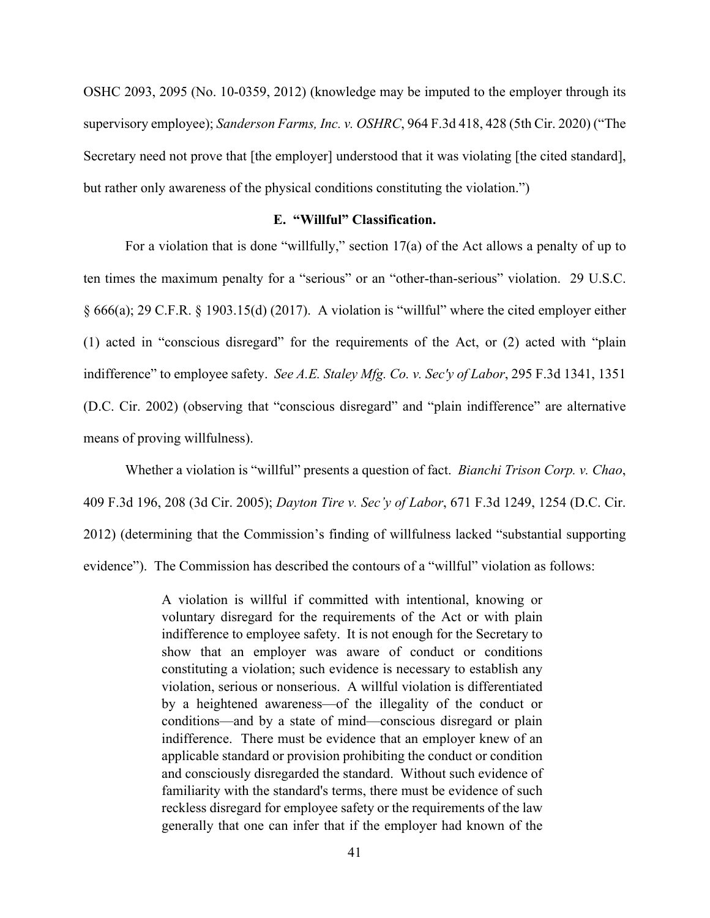OSHC 2093, 2095 (No. 10-0359, 2012) (knowledge may be imputed to the employer through its supervisory employee); *Sanderson Farms, Inc. v. OSHRC*, 964 F.3d 418, 428 (5th Cir. 2020) ("The Secretary need not prove that [the employer] understood that it was violating [the cited standard], but rather only awareness of the physical conditions constituting the violation.")

# **E. "Willful" Classification.**

For a violation that is done "willfully," section 17(a) of the Act allows a penalty of up to ten times the maximum penalty for a "serious" or an "other-than-serious" violation. 29 U.S.C. § 666(a); 29 C.F.R. § 1903.15(d) (2017). A violation is "willful" where the cited employer either (1) acted in "conscious disregard" for the requirements of the Act, or (2) acted with "plain indifference" to employee safety. *See A.E. Staley Mfg. Co. v. Sec'y of Labor*, 295 F.3d 1341, 1351 (D.C. Cir. 2002) (observing that "conscious disregard" and "plain indifference" are alternative means of proving willfulness).

Whether a violation is "willful" presents a question of fact. *Bianchi Trison Corp. v. Chao*, 409 F.3d 196, 208 (3d Cir. 2005); *Dayton Tire v. Sec'y of Labor*, 671 F.3d 1249, 1254 (D.C. Cir. 2012) (determining that the Commission's finding of willfulness lacked "substantial supporting evidence"). The Commission has described the contours of a "willful" violation as follows:

> A violation is willful if committed with intentional, knowing or voluntary disregard for the requirements of the Act or with plain indifference to employee safety. It is not enough for the Secretary to show that an employer was aware of conduct or conditions constituting a violation; such evidence is necessary to establish any violation, serious or nonserious. A willful violation is differentiated by a heightened awareness—of the illegality of the conduct or conditions—and by a state of mind—conscious disregard or plain indifference. There must be evidence that an employer knew of an applicable standard or provision prohibiting the conduct or condition and consciously disregarded the standard. Without such evidence of familiarity with the standard's terms, there must be evidence of such reckless disregard for employee safety or the requirements of the law generally that one can infer that if the employer had known of the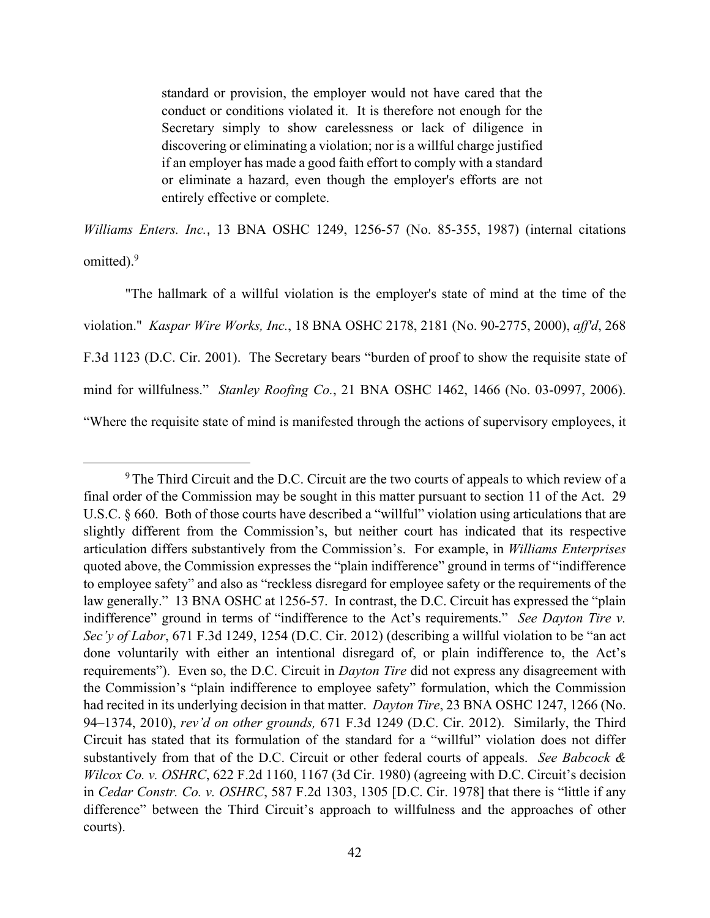standard or provision, the employer would not have cared that the conduct or conditions violated it. It is therefore not enough for the Secretary simply to show carelessness or lack of diligence in discovering or eliminating a violation; nor is a willful charge justified if an employer has made a good faith effort to comply with a standard or eliminate a hazard, even though the employer's efforts are not entirely effective or complete.

*Williams Enters. Inc.*, 13 BNA OSHC 1249, 1256-57 (No. 85-355, 1987) (internal citations omitted).<sup>9</sup>

"The hallmark of a willful violation is the employer's state of mind at the time of the violation." *Kaspar Wire Works, Inc.*, 18 BNA OSHC 2178, 2181 (No. 90-2775, 2000), *aff'd*, 268 F.3d 1123 (D.C. Cir. 2001). The Secretary bears "burden of proof to show the requisite state of mind for willfulness." *Stanley Roofing Co.*, 21 BNA OSHC 1462, 1466 (No. 03-0997, 2006). "Where the requisite state of mind is manifested through the actions of supervisory employees, it

<sup>&</sup>lt;sup>9</sup> The Third Circuit and the D.C. Circuit are the two courts of appeals to which review of a final order of the Commission may be sought in this matter pursuant to section 11 of the Act. 29 U.S.C. § 660. Both of those courts have described a "willful" violation using articulations that are slightly different from the Commission's, but neither court has indicated that its respective articulation differs substantively from the Commission's. For example, in *Williams Enterprises* quoted above, the Commission expresses the "plain indifference" ground in terms of "indifference to employee safety" and also as "reckless disregard for employee safety or the requirements of the law generally." 13 BNA OSHC at 1256-57. In contrast, the D.C. Circuit has expressed the "plain indifference" ground in terms of "indifference to the Act's requirements." *See Dayton Tire v. Sec'y of Labor*, 671 F.3d 1249, 1254 (D.C. Cir. 2012) (describing a willful violation to be "an act done voluntarily with either an intentional disregard of, or plain indifference to, the Act's requirements"). Even so, the D.C. Circuit in *Dayton Tire* did not express any disagreement with the Commission's "plain indifference to employee safety" formulation, which the Commission had recited in its underlying decision in that matter. *Dayton Tire*, 23 BNA OSHC 1247, 1266 (No. 94–1374, 2010), *rev'd on other grounds,* 671 F.3d 1249 (D.C. Cir. 2012). Similarly, the Third Circuit has stated that its formulation of the standard for a "willful" violation does not differ substantively from that of the D.C. Circuit or other federal courts of appeals. *See Babcock & Wilcox Co. v. OSHRC*, 622 F.2d 1160, 1167 (3d Cir. 1980) (agreeing with D.C. Circuit's decision in *Cedar Constr. Co. v. OSHRC*, 587 F.2d 1303, 1305 [D.C. Cir. 1978] that there is "little if any difference" between the Third Circuit's approach to willfulness and the approaches of other courts).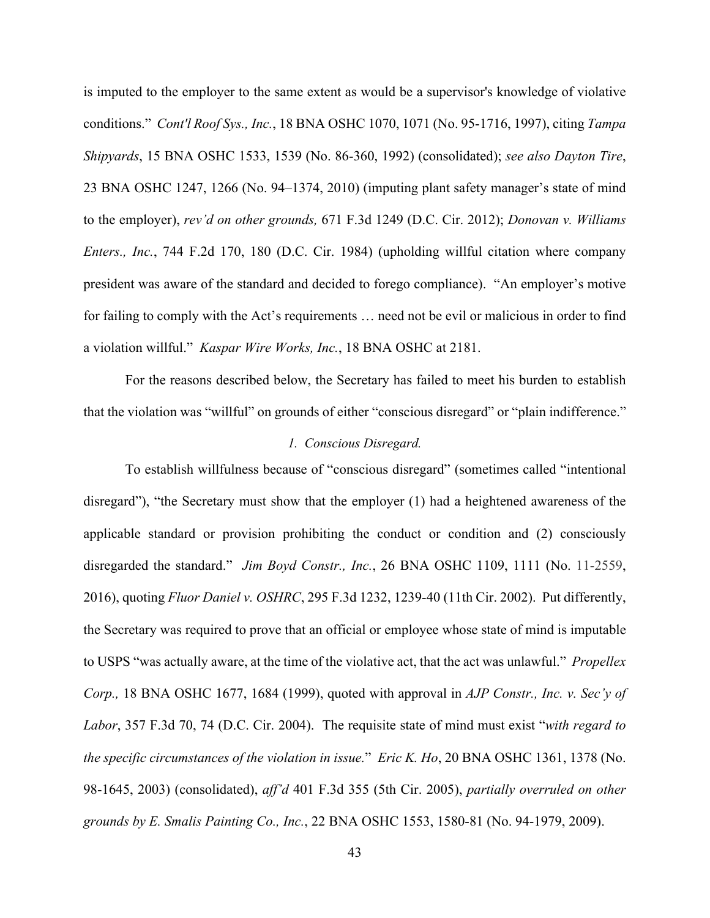is imputed to the employer to the same extent as would be a supervisor's knowledge of violative conditions." *Cont'l Roof Sys., Inc.*, 18 BNA OSHC 1070, 1071 (No. 95-1716, 1997), citing *Tampa Shipyards*, 15 BNA OSHC 1533, 1539 (No. 86-360, 1992) (consolidated); *see also Dayton Tire*, 23 BNA OSHC 1247, 1266 (No. 94–1374, 2010) (imputing plant safety manager's state of mind to the employer), *rev'd on other grounds,* 671 F.3d 1249 (D.C. Cir. 2012); *Donovan v. Williams Enters., Inc.*, 744 F.2d 170, 180 (D.C. Cir. 1984) (upholding willful citation where company president was aware of the standard and decided to forego compliance). "An employer's motive for failing to comply with the Act's requirements … need not be evil or malicious in order to find a violation willful." *Kaspar Wire Works, Inc.*, 18 BNA OSHC at 2181.

For the reasons described below, the Secretary has failed to meet his burden to establish that the violation was "willful" on grounds of either "conscious disregard" or "plain indifference."

# *1. Conscious Disregard.*

To establish willfulness because of "conscious disregard" (sometimes called "intentional disregard"), "the Secretary must show that the employer (1) had a heightened awareness of the applicable standard or provision prohibiting the conduct or condition and (2) consciously disregarded the standard." *Jim Boyd Constr., Inc.*, 26 BNA OSHC 1109, 1111 (No. 11-2559, 2016), quoting *Fluor Daniel v. OSHRC*, 295 F.3d 1232, 1239-40 (11th Cir. 2002). Put differently, the Secretary was required to prove that an official or employee whose state of mind is imputable to USPS "was actually aware, at the time of the violative act, that the act was unlawful." *Propellex Corp.,* 18 BNA OSHC 1677, 1684 (1999), quoted with approval in *AJP Constr., Inc. v. Sec'y of Labor*, 357 F.3d 70, 74 (D.C. Cir. 2004). The requisite state of mind must exist "*with regard to the specific circumstances of the violation in issue.*" *Eric K. Ho*, 20 BNA OSHC 1361, 1378 (No. 98-1645, 2003) (consolidated), *aff'd* 401 F.3d 355 (5th Cir. 2005), *partially overruled on other grounds by E. Smalis Painting Co., Inc.*, 22 BNA OSHC 1553, 1580-81 (No. 94-1979, 2009).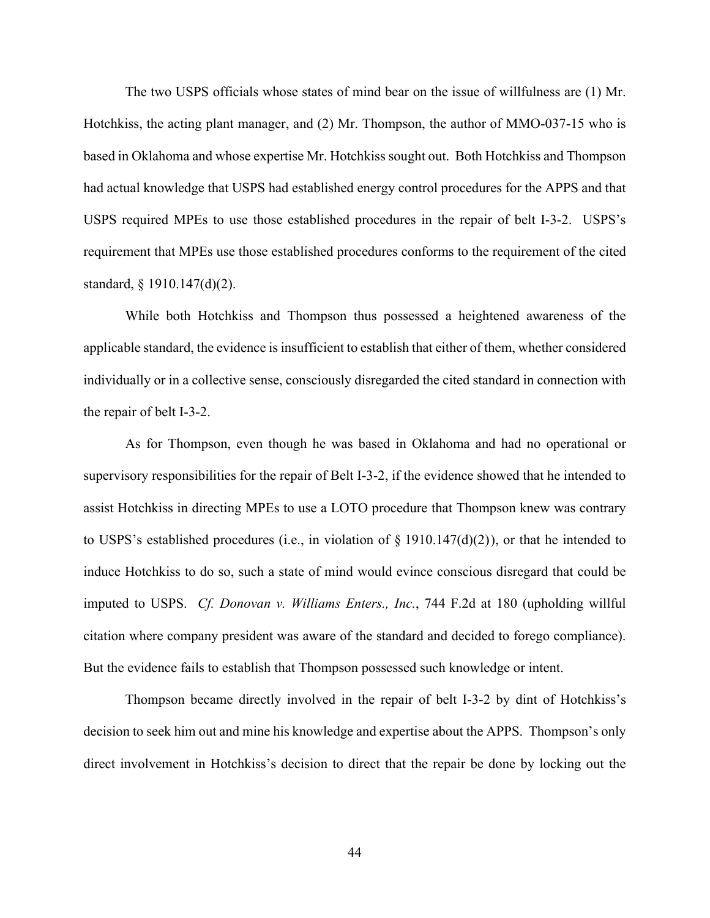The two USPS officials whose states of mind bear on the issue of willfulness are (1) Mr. Hotchkiss, the acting plant manager, and (2) Mr. Thompson, the author of MMO-037-15 who is based in Oklahoma and whose expertise Mr. Hotchkiss sought out. Both Hotchkiss and Thompson had actual knowledge that USPS had established energy control procedures for the APPS and that USPS required MPEs to use those established procedures in the repair of belt I-3-2. USPS's requirement that MPEs use those established procedures conforms to the requirement of the cited standard, § 1910.147(d)(2).

While both Hotchkiss and Thompson thus possessed a heightened awareness of the applicable standard, the evidence is insufficient to establish that either of them, whether considered individually or in a collective sense, consciously disregarded the cited standard in connection with the repair of belt I-3-2.

As for Thompson, even though he was based in Oklahoma and had no operational or supervisory responsibilities for the repair of Belt I-3-2, if the evidence showed that he intended to assist Hotchkiss in directing MPEs to use a LOTO procedure that Thompson knew was contrary to USPS's established procedures (i.e., in violation of  $\S$  1910.147(d)(2)), or that he intended to induce Hotchkiss to do so, such a state of mind would evince conscious disregard that could be imputed to USPS. *Cf. Donovan v. Williams Enters., Inc.*, 744 F.2d at 180 (upholding willful citation where company president was aware of the standard and decided to forego compliance). But the evidence fails to establish that Thompson possessed such knowledge or intent.

Thompson became directly involved in the repair of belt I-3-2 by dint of Hotchkiss's decision to seek him out and mine his knowledge and expertise about the APPS. Thompson's only direct involvement in Hotchkiss's decision to direct that the repair be done by locking out the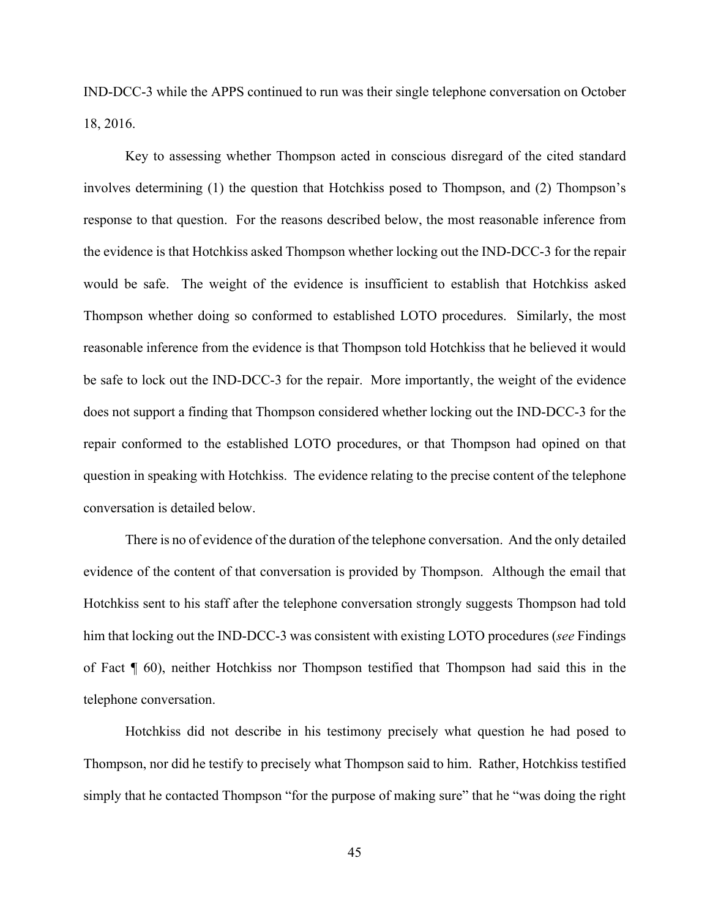IND-DCC-3 while the APPS continued to run was their single telephone conversation on October 18, 2016.

Key to assessing whether Thompson acted in conscious disregard of the cited standard involves determining (1) the question that Hotchkiss posed to Thompson, and (2) Thompson's response to that question. For the reasons described below, the most reasonable inference from the evidence is that Hotchkiss asked Thompson whether locking out the IND-DCC-3 for the repair would be safe. The weight of the evidence is insufficient to establish that Hotchkiss asked Thompson whether doing so conformed to established LOTO procedures. Similarly, the most reasonable inference from the evidence is that Thompson told Hotchkiss that he believed it would be safe to lock out the IND-DCC-3 for the repair. More importantly, the weight of the evidence does not support a finding that Thompson considered whether locking out the IND-DCC-3 for the repair conformed to the established LOTO procedures, or that Thompson had opined on that question in speaking with Hotchkiss. The evidence relating to the precise content of the telephone conversation is detailed below.

There is no of evidence of the duration of the telephone conversation. And the only detailed evidence of the content of that conversation is provided by Thompson. Although the email that Hotchkiss sent to his staff after the telephone conversation strongly suggests Thompson had told him that locking out the IND-DCC-3 was consistent with existing LOTO procedures (*see* Findings of Fact ¶ 60), neither Hotchkiss nor Thompson testified that Thompson had said this in the telephone conversation.

Hotchkiss did not describe in his testimony precisely what question he had posed to Thompson, nor did he testify to precisely what Thompson said to him. Rather, Hotchkiss testified simply that he contacted Thompson "for the purpose of making sure" that he "was doing the right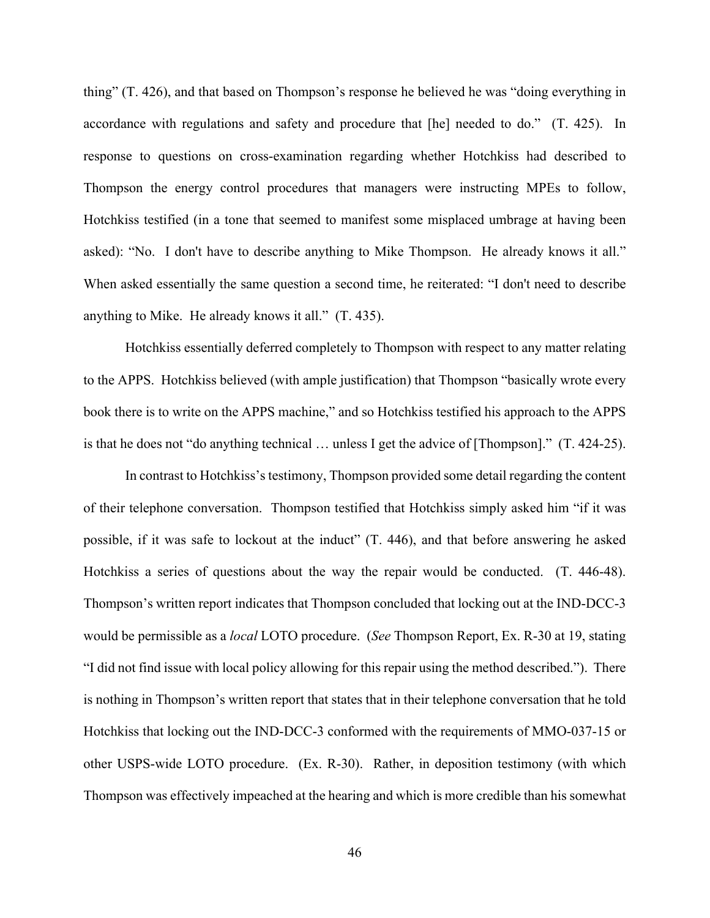thing" (T. 426), and that based on Thompson's response he believed he was "doing everything in accordance with regulations and safety and procedure that [he] needed to do." (T. 425). In response to questions on cross-examination regarding whether Hotchkiss had described to Thompson the energy control procedures that managers were instructing MPEs to follow, Hotchkiss testified (in a tone that seemed to manifest some misplaced umbrage at having been asked): "No. I don't have to describe anything to Mike Thompson. He already knows it all." When asked essentially the same question a second time, he reiterated: "I don't need to describe anything to Mike. He already knows it all." (T. 435).

Hotchkiss essentially deferred completely to Thompson with respect to any matter relating to the APPS. Hotchkiss believed (with ample justification) that Thompson "basically wrote every book there is to write on the APPS machine," and so Hotchkiss testified his approach to the APPS is that he does not "do anything technical … unless I get the advice of [Thompson]." (T. 424-25).

In contrast to Hotchkiss's testimony, Thompson provided some detail regarding the content of their telephone conversation. Thompson testified that Hotchkiss simply asked him "if it was possible, if it was safe to lockout at the induct" (T. 446), and that before answering he asked Hotchkiss a series of questions about the way the repair would be conducted. (T. 446-48). Thompson's written report indicates that Thompson concluded that locking out at the IND-DCC-3 would be permissible as a *local* LOTO procedure. (*See* Thompson Report, Ex. R-30 at 19, stating "I did not find issue with local policy allowing for this repair using the method described."). There is nothing in Thompson's written report that states that in their telephone conversation that he told Hotchkiss that locking out the IND-DCC-3 conformed with the requirements of MMO-037-15 or other USPS-wide LOTO procedure. (Ex. R-30). Rather, in deposition testimony (with which Thompson was effectively impeached at the hearing and which is more credible than his somewhat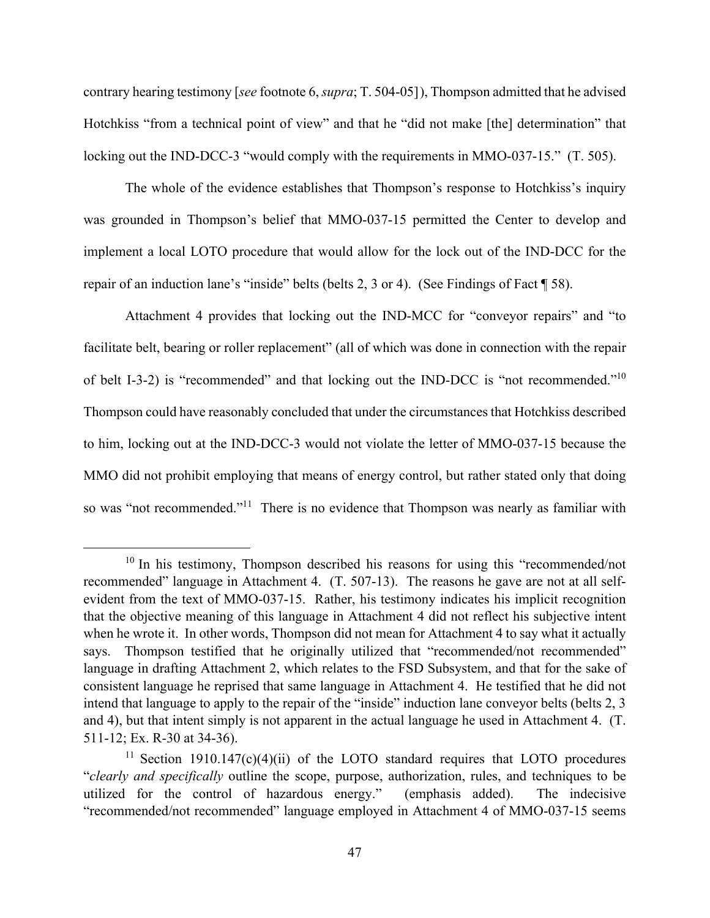contrary hearing testimony [*see* footnote 6, *supra*; T. 504-05]), Thompson admitted that he advised Hotchkiss "from a technical point of view" and that he "did not make [the] determination" that locking out the IND-DCC-3 "would comply with the requirements in MMO-037-15." (T. 505).

The whole of the evidence establishes that Thompson's response to Hotchkiss's inquiry was grounded in Thompson's belief that MMO-037-15 permitted the Center to develop and implement a local LOTO procedure that would allow for the lock out of the IND-DCC for the repair of an induction lane's "inside" belts (belts 2, 3 or 4). (See Findings of Fact ¶ 58).

Attachment 4 provides that locking out the IND-MCC for "conveyor repairs" and "to facilitate belt, bearing or roller replacement" (all of which was done in connection with the repair of belt I-3-2) is "recommended" and that locking out the IND-DCC is "not recommended."10 Thompson could have reasonably concluded that under the circumstances that Hotchkiss described to him, locking out at the IND-DCC-3 would not violate the letter of MMO-037-15 because the MMO did not prohibit employing that means of energy control, but rather stated only that doing so was "not recommended."<sup>11</sup> There is no evidence that Thompson was nearly as familiar with

 $10$  In his testimony, Thompson described his reasons for using this "recommended/not recommended" language in Attachment 4. (T. 507-13). The reasons he gave are not at all selfevident from the text of MMO-037-15. Rather, his testimony indicates his implicit recognition that the objective meaning of this language in Attachment 4 did not reflect his subjective intent when he wrote it. In other words, Thompson did not mean for Attachment 4 to say what it actually says. Thompson testified that he originally utilized that "recommended/not recommended" language in drafting Attachment 2, which relates to the FSD Subsystem, and that for the sake of consistent language he reprised that same language in Attachment 4. He testified that he did not intend that language to apply to the repair of the "inside" induction lane conveyor belts (belts 2, 3 and 4), but that intent simply is not apparent in the actual language he used in Attachment 4. (T. 511-12; Ex. R-30 at 34-36).

<sup>&</sup>lt;sup>11</sup> Section 1910.147 $(c)(4)(ii)$  of the LOTO standard requires that LOTO procedures "*clearly and specifically* outline the scope, purpose, authorization, rules, and techniques to be utilized for the control of hazardous energy." (emphasis added). The indecisive "recommended/not recommended" language employed in Attachment 4 of MMO-037-15 seems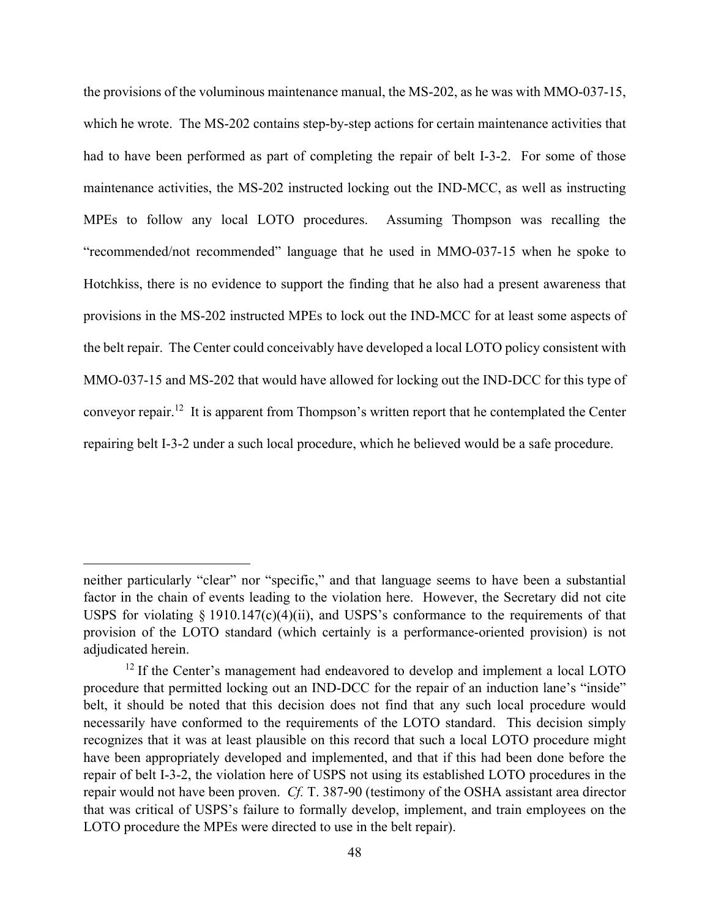the provisions of the voluminous maintenance manual, the MS-202, as he was with MMO-037-15, which he wrote. The MS-202 contains step-by-step actions for certain maintenance activities that had to have been performed as part of completing the repair of belt I-3-2. For some of those maintenance activities, the MS-202 instructed locking out the IND-MCC, as well as instructing MPEs to follow any local LOTO procedures. Assuming Thompson was recalling the "recommended/not recommended" language that he used in MMO-037-15 when he spoke to Hotchkiss, there is no evidence to support the finding that he also had a present awareness that provisions in the MS-202 instructed MPEs to lock out the IND-MCC for at least some aspects of the belt repair. The Center could conceivably have developed a local LOTO policy consistent with MMO-037-15 and MS-202 that would have allowed for locking out the IND-DCC for this type of conveyor repair.12 It is apparent from Thompson's written report that he contemplated the Center repairing belt I-3-2 under a such local procedure, which he believed would be a safe procedure.

neither particularly "clear" nor "specific," and that language seems to have been a substantial factor in the chain of events leading to the violation here. However, the Secretary did not cite USPS for violating  $\S 1910.147(c)(4)(ii)$ , and USPS's conformance to the requirements of that provision of the LOTO standard (which certainly is a performance-oriented provision) is not adjudicated herein.

 $12$  If the Center's management had endeavored to develop and implement a local LOTO procedure that permitted locking out an IND-DCC for the repair of an induction lane's "inside" belt, it should be noted that this decision does not find that any such local procedure would necessarily have conformed to the requirements of the LOTO standard. This decision simply recognizes that it was at least plausible on this record that such a local LOTO procedure might have been appropriately developed and implemented, and that if this had been done before the repair of belt I-3-2, the violation here of USPS not using its established LOTO procedures in the repair would not have been proven. *Cf.* T. 387-90 (testimony of the OSHA assistant area director that was critical of USPS's failure to formally develop, implement, and train employees on the LOTO procedure the MPEs were directed to use in the belt repair).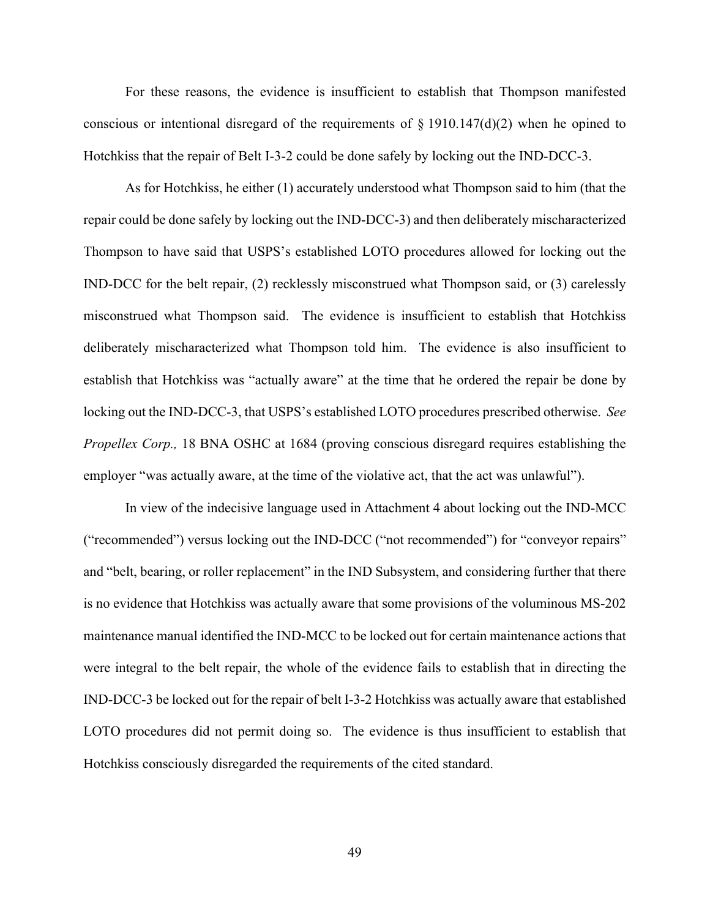For these reasons, the evidence is insufficient to establish that Thompson manifested conscious or intentional disregard of the requirements of  $\S$  1910.147(d)(2) when he opined to Hotchkiss that the repair of Belt I-3-2 could be done safely by locking out the IND-DCC-3.

As for Hotchkiss, he either (1) accurately understood what Thompson said to him (that the repair could be done safely by locking out the IND-DCC-3) and then deliberately mischaracterized Thompson to have said that USPS's established LOTO procedures allowed for locking out the IND-DCC for the belt repair, (2) recklessly misconstrued what Thompson said, or (3) carelessly misconstrued what Thompson said. The evidence is insufficient to establish that Hotchkiss deliberately mischaracterized what Thompson told him. The evidence is also insufficient to establish that Hotchkiss was "actually aware" at the time that he ordered the repair be done by locking out the IND-DCC-3, that USPS's established LOTO procedures prescribed otherwise. *See Propellex Corp.,* 18 BNA OSHC at 1684 (proving conscious disregard requires establishing the employer "was actually aware, at the time of the violative act, that the act was unlawful").

In view of the indecisive language used in Attachment 4 about locking out the IND-MCC ("recommended") versus locking out the IND-DCC ("not recommended") for "conveyor repairs" and "belt, bearing, or roller replacement" in the IND Subsystem, and considering further that there is no evidence that Hotchkiss was actually aware that some provisions of the voluminous MS-202 maintenance manual identified the IND-MCC to be locked out for certain maintenance actions that were integral to the belt repair, the whole of the evidence fails to establish that in directing the IND-DCC-3 be locked out for the repair of belt I-3-2 Hotchkiss was actually aware that established LOTO procedures did not permit doing so. The evidence is thus insufficient to establish that Hotchkiss consciously disregarded the requirements of the cited standard.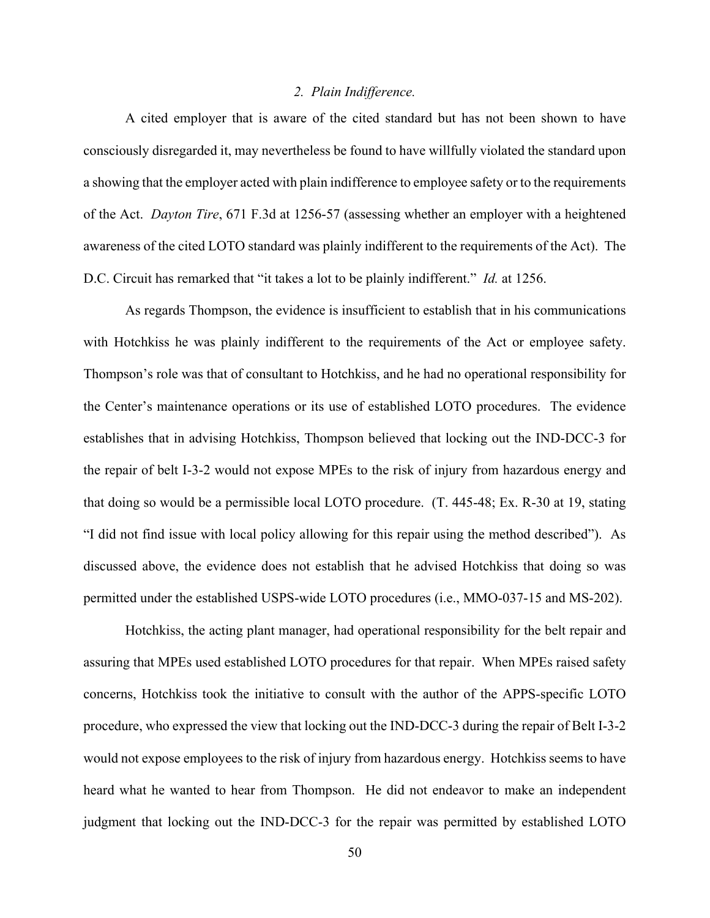# *2. Plain Indifference.*

A cited employer that is aware of the cited standard but has not been shown to have consciously disregarded it, may nevertheless be found to have willfully violated the standard upon a showing that the employer acted with plain indifference to employee safety or to the requirements of the Act. *Dayton Tire*, 671 F.3d at 1256-57 (assessing whether an employer with a heightened awareness of the cited LOTO standard was plainly indifferent to the requirements of the Act). The D.C. Circuit has remarked that "it takes a lot to be plainly indifferent." *Id.* at 1256.

As regards Thompson, the evidence is insufficient to establish that in his communications with Hotchkiss he was plainly indifferent to the requirements of the Act or employee safety. Thompson's role was that of consultant to Hotchkiss, and he had no operational responsibility for the Center's maintenance operations or its use of established LOTO procedures. The evidence establishes that in advising Hotchkiss, Thompson believed that locking out the IND-DCC-3 for the repair of belt I-3-2 would not expose MPEs to the risk of injury from hazardous energy and that doing so would be a permissible local LOTO procedure. (T. 445-48; Ex. R-30 at 19, stating "I did not find issue with local policy allowing for this repair using the method described"). As discussed above, the evidence does not establish that he advised Hotchkiss that doing so was permitted under the established USPS-wide LOTO procedures (i.e., MMO-037-15 and MS-202).

Hotchkiss, the acting plant manager, had operational responsibility for the belt repair and assuring that MPEs used established LOTO procedures for that repair. When MPEs raised safety concerns, Hotchkiss took the initiative to consult with the author of the APPS-specific LOTO procedure, who expressed the view that locking out the IND-DCC-3 during the repair of Belt I-3-2 would not expose employees to the risk of injury from hazardous energy. Hotchkiss seems to have heard what he wanted to hear from Thompson. He did not endeavor to make an independent judgment that locking out the IND-DCC-3 for the repair was permitted by established LOTO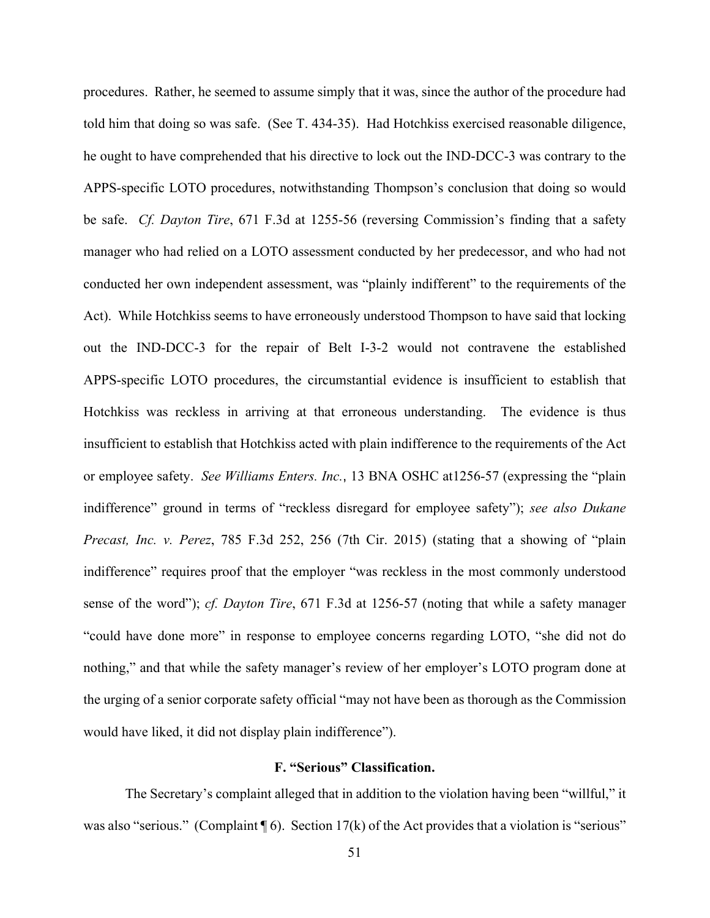procedures. Rather, he seemed to assume simply that it was, since the author of the procedure had told him that doing so was safe. (See T. 434-35). Had Hotchkiss exercised reasonable diligence, he ought to have comprehended that his directive to lock out the IND-DCC-3 was contrary to the APPS-specific LOTO procedures, notwithstanding Thompson's conclusion that doing so would be safe. *Cf. Dayton Tire*, 671 F.3d at 1255-56 (reversing Commission's finding that a safety manager who had relied on a LOTO assessment conducted by her predecessor, and who had not conducted her own independent assessment, was "plainly indifferent" to the requirements of the Act). While Hotchkiss seems to have erroneously understood Thompson to have said that locking out the IND-DCC-3 for the repair of Belt I-3-2 would not contravene the established APPS-specific LOTO procedures, the circumstantial evidence is insufficient to establish that Hotchkiss was reckless in arriving at that erroneous understanding. The evidence is thus insufficient to establish that Hotchkiss acted with plain indifference to the requirements of the Act or employee safety. *See Williams Enters. Inc.*, 13 BNA OSHC at1256-57 (expressing the "plain indifference" ground in terms of "reckless disregard for employee safety"); *see also Dukane Precast, Inc. v. Perez*, 785 F.3d 252, 256 (7th Cir. 2015) (stating that a showing of "plain indifference" requires proof that the employer "was reckless in the most commonly understood sense of the word"); *cf. Dayton Tire*, 671 F.3d at 1256-57 (noting that while a safety manager "could have done more" in response to employee concerns regarding LOTO, "she did not do nothing," and that while the safety manager's review of her employer's LOTO program done at the urging of a senior corporate safety official "may not have been as thorough as the Commission would have liked, it did not display plain indifference").

# **F. "Serious" Classification.**

The Secretary's complaint alleged that in addition to the violation having been "willful," it was also "serious." (Complaint  $\P$  6). Section 17(k) of the Act provides that a violation is "serious"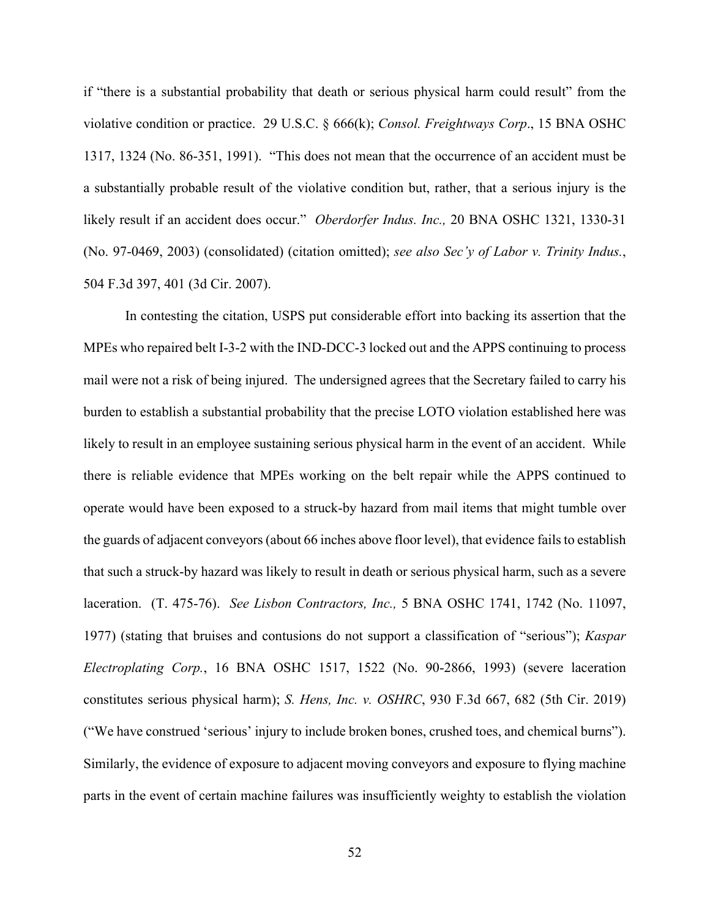if "there is a substantial probability that death or serious physical harm could result" from the violative condition or practice. 29 U.S.C. § 666(k); *Consol. Freightways Corp*., 15 BNA OSHC 1317, 1324 (No. 86-351, 1991). "This does not mean that the occurrence of an accident must be a substantially probable result of the violative condition but, rather, that a serious injury is the likely result if an accident does occur." *Oberdorfer Indus. Inc.,* 20 BNA OSHC 1321, 1330-31 (No. 97-0469, 2003) (consolidated) (citation omitted); *see also Sec'y of Labor v. Trinity Indus.*, 504 F.3d 397, 401 (3d Cir. 2007).

In contesting the citation, USPS put considerable effort into backing its assertion that the MPEs who repaired belt I-3-2 with the IND-DCC-3 locked out and the APPS continuing to process mail were not a risk of being injured. The undersigned agrees that the Secretary failed to carry his burden to establish a substantial probability that the precise LOTO violation established here was likely to result in an employee sustaining serious physical harm in the event of an accident. While there is reliable evidence that MPEs working on the belt repair while the APPS continued to operate would have been exposed to a struck-by hazard from mail items that might tumble over the guards of adjacent conveyors (about 66 inches above floor level), that evidence fails to establish that such a struck-by hazard was likely to result in death or serious physical harm, such as a severe laceration. (T. 475-76). *See Lisbon Contractors, Inc.,* 5 BNA OSHC 1741, 1742 (No. 11097, 1977) (stating that bruises and contusions do not support a classification of "serious"); *Kaspar Electroplating Corp.*, 16 BNA OSHC 1517, 1522 (No. 90-2866, 1993) (severe laceration constitutes serious physical harm); *S. Hens, Inc. v. OSHRC*, 930 F.3d 667, 682 (5th Cir. 2019) ("We have construed 'serious' injury to include broken bones, crushed toes, and chemical burns"). Similarly, the evidence of exposure to adjacent moving conveyors and exposure to flying machine parts in the event of certain machine failures was insufficiently weighty to establish the violation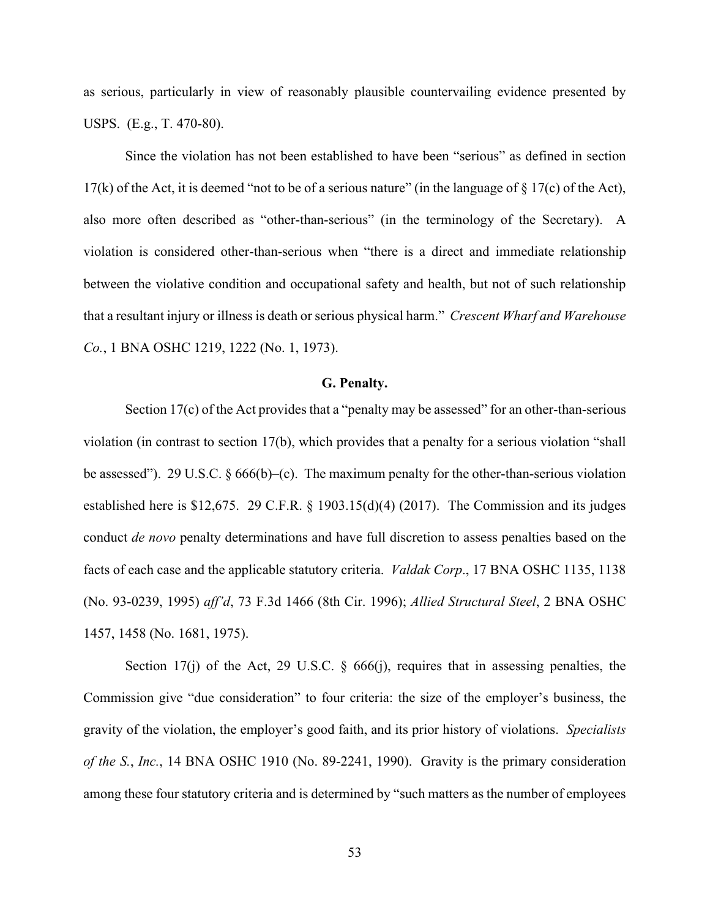as serious, particularly in view of reasonably plausible countervailing evidence presented by USPS. (E.g., T. 470-80).

Since the violation has not been established to have been "serious" as defined in section 17(k) of the Act, it is deemed "not to be of a serious nature" (in the language of § 17(c) of the Act), also more often described as "other-than-serious" (in the terminology of the Secretary). A violation is considered other-than-serious when "there is a direct and immediate relationship between the violative condition and occupational safety and health, but not of such relationship that a resultant injury or illness is death or serious physical harm." *Crescent Wharf and Warehouse Co.*, 1 BNA OSHC 1219, 1222 (No. 1, 1973).

# **G. Penalty.**

Section 17(c) of the Act provides that a "penalty may be assessed" for an other-than-serious violation (in contrast to section 17(b), which provides that a penalty for a serious violation "shall be assessed"). 29 U.S.C.  $\delta$  666(b)–(c). The maximum penalty for the other-than-serious violation established here is \$12,675. 29 C.F.R. § 1903.15(d)(4) (2017). The Commission and its judges conduct *de novo* penalty determinations and have full discretion to assess penalties based on the facts of each case and the applicable statutory criteria. *Valdak Corp*., 17 BNA OSHC 1135, 1138 (No. 93-0239, 1995) *aff'd*, 73 F.3d 1466 (8th Cir. 1996); *Allied Structural Steel*, 2 BNA OSHC 1457, 1458 (No. 1681, 1975).

Section 17(j) of the Act, 29 U.S.C.  $\S$  666(j), requires that in assessing penalties, the Commission give "due consideration" to four criteria: the size of the employer's business, the gravity of the violation, the employer's good faith, and its prior history of violations. *Specialists of the S.*, *Inc.*, 14 BNA OSHC 1910 (No. 89-2241, 1990). Gravity is the primary consideration among these four statutory criteria and is determined by "such matters as the number of employees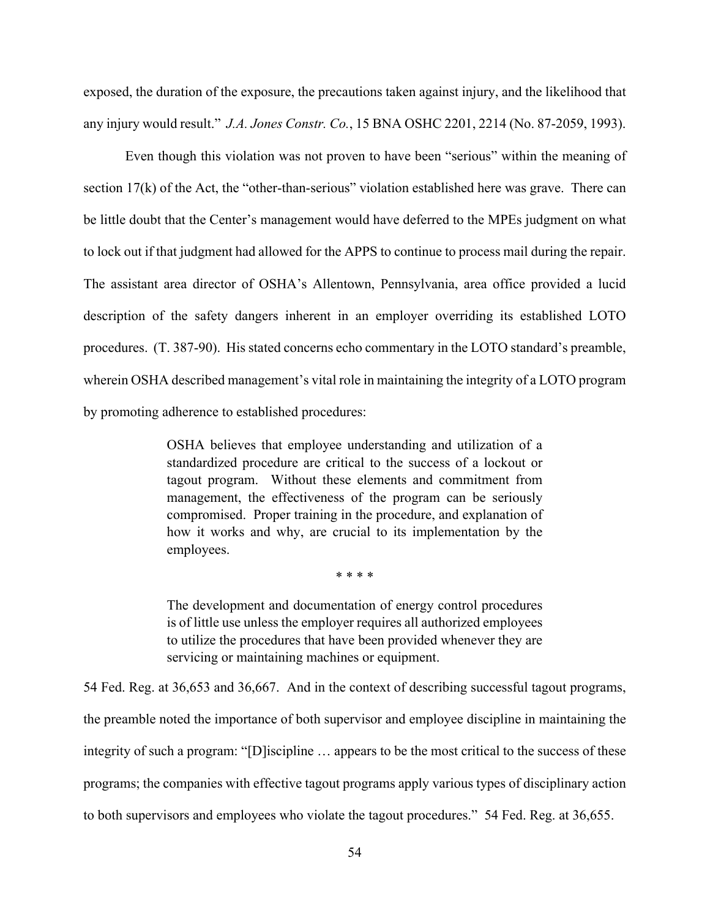exposed, the duration of the exposure, the precautions taken against injury, and the likelihood that any injury would result." *J.A. Jones Constr. Co.*, 15 BNA OSHC 2201, 2214 (No. 87-2059, 1993).

Even though this violation was not proven to have been "serious" within the meaning of section 17(k) of the Act, the "other-than-serious" violation established here was grave. There can be little doubt that the Center's management would have deferred to the MPEs judgment on what to lock out if that judgment had allowed for the APPS to continue to process mail during the repair. The assistant area director of OSHA's Allentown, Pennsylvania, area office provided a lucid description of the safety dangers inherent in an employer overriding its established LOTO procedures. (T. 387-90). His stated concerns echo commentary in the LOTO standard's preamble, wherein OSHA described management's vital role in maintaining the integrity of a LOTO program by promoting adherence to established procedures:

> OSHA believes that employee understanding and utilization of a standardized procedure are critical to the success of a lockout or tagout program. Without these elements and commitment from management, the effectiveness of the program can be seriously compromised. Proper training in the procedure, and explanation of how it works and why, are crucial to its implementation by the employees.

> > \* \* \* \*

The development and documentation of energy control procedures is of little use unless the employer requires all authorized employees to utilize the procedures that have been provided whenever they are servicing or maintaining machines or equipment.

54 Fed. Reg. at 36,653 and 36,667. And in the context of describing successful tagout programs, the preamble noted the importance of both supervisor and employee discipline in maintaining the integrity of such a program: "[D]iscipline … appears to be the most critical to the success of these programs; the companies with effective tagout programs apply various types of disciplinary action to both supervisors and employees who violate the tagout procedures." 54 Fed. Reg. at 36,655.